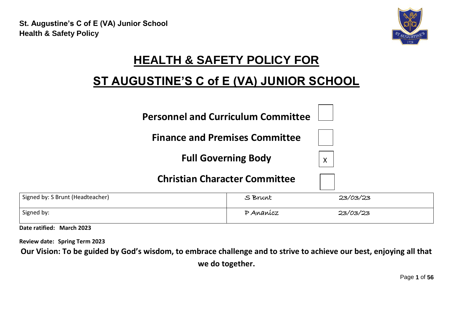

# **HEALTH & SAFETY POLICY FOR**

## **ST AUGUSTINE'S C of E (VA) JUNIOR SCHOOL**

| <b>Personnel and Curriculum Committee</b> |  |
|-------------------------------------------|--|
|                                           |  |

**Finance and Premises Committee**

**Full Governing Body**



### **Christian Character Committee**

| Signed by: S Brunt (Headteacher) | S Brunt   | 23/03/23 |  |
|----------------------------------|-----------|----------|--|
| Signed by:                       | P Ananícz | 23/03/23 |  |

**Date ratified: March 2023**

**Review date: Spring Term 2023**

**Our Vision: To be guided by God's wisdom, to embrace challenge and to strive to achieve our best, enjoying all that** 

**we do together.**

Page **1** of **56**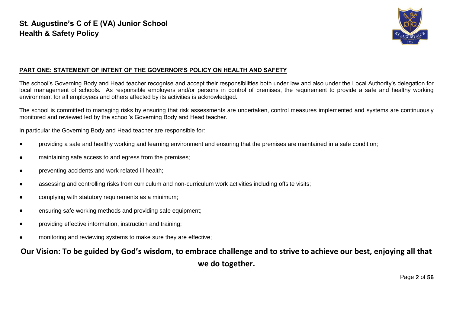

#### **PART ONE: STATEMENT OF INTENT OF THE GOVERNOR'S POLICY ON HEALTH AND SAFETY**

The school's Governing Body and Head teacher recognise and accept their responsibilities both under law and also under the Local Authority's delegation for local management of schools. As responsible employers and/or persons in control of premises, the requirement to provide a safe and healthy working environment for all employees and others affected by its activities is acknowledged.

The school is committed to managing risks by ensuring that risk assessments are undertaken, control measures implemented and systems are continuously monitored and reviewed led by the school's Governing Body and Head teacher.

In particular the Governing Body and Head teacher are responsible for:

- providing a safe and healthy working and learning environment and ensuring that the premises are maintained in a safe condition;
- maintaining safe access to and egress from the premises;
- preventing accidents and work related ill health;
- assessing and controlling risks from curriculum and non-curriculum work activities including offsite visits;
- complying with statutory requirements as a minimum;
- ensuring safe working methods and providing safe equipment;
- providing effective information, instruction and training;
- monitoring and reviewing systems to make sure they are effective;

**Our Vision: To be guided by God's wisdom, to embrace challenge and to strive to achieve our best, enjoying all that we do together.**

Page **2** of **56**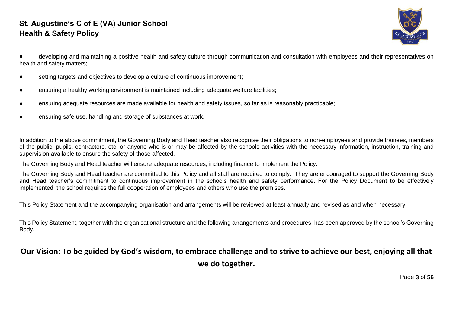

developing and maintaining a positive health and safety culture through communication and consultation with employees and their representatives on health and safety matters;

- setting targets and objectives to develop a culture of continuous improvement;
- ensuring a healthy working environment is maintained including adequate welfare facilities;
- ensuring adequate resources are made available for health and safety issues, so far as is reasonably practicable;
- ensuring safe use, handling and storage of substances at work.

In addition to the above commitment, the Governing Body and Head teacher also recognise their obligations to non-employees and provide trainees, members of the public, pupils, contractors, etc. or anyone who is or may be affected by the schools activities with the necessary information, instruction, training and supervision available to ensure the safety of those affected.

The Governing Body and Head teacher will ensure adequate resources, including finance to implement the Policy.

The Governing Body and Head teacher are committed to this Policy and all staff are required to comply. They are encouraged to support the Governing Body and Head teacher's commitment to continuous improvement in the schools health and safety performance. For the Policy Document to be effectively implemented, the school requires the full cooperation of employees and others who use the premises.

This Policy Statement and the accompanying organisation and arrangements will be reviewed at least annually and revised as and when necessary.

This Policy Statement, together with the organisational structure and the following arrangements and procedures, has been approved by the school's Governing Body.

### **Our Vision: To be guided by God's wisdom, to embrace challenge and to strive to achieve our best, enjoying all that we do together.**

Page **3** of **56**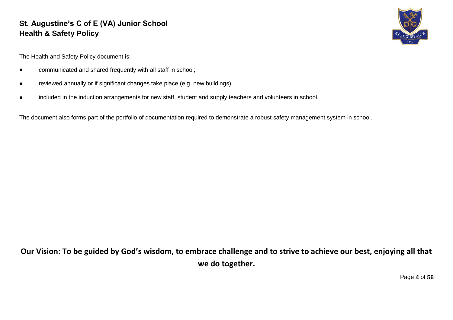

The Health and Safety Policy document is:

- communicated and shared frequently with all staff in school;
- reviewed annually or if significant changes take place (e.g. new buildings);
- included in the induction arrangements for new staff, student and supply teachers and volunteers in school.

The document also forms part of the portfolio of documentation required to demonstrate a robust safety management system in school.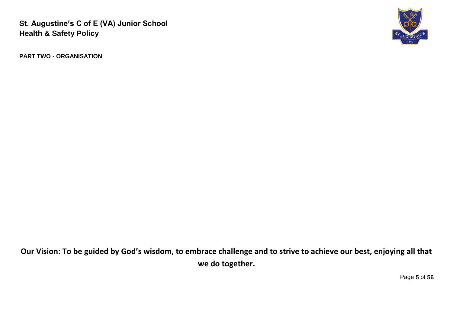

**PART TWO - ORGANISATION**

**Our Vision: To be guided by God's wisdom, to embrace challenge and to strive to achieve our best, enjoying all that we do together.**

Page **5** of **56**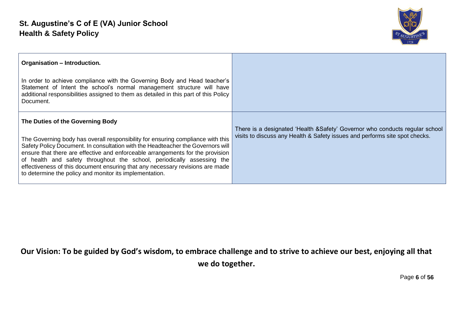

| Organisation - Introduction.                                                                                                                                                                                                                                                                                                                                                                                                                                                                                   |                                                                                                                                                             |
|----------------------------------------------------------------------------------------------------------------------------------------------------------------------------------------------------------------------------------------------------------------------------------------------------------------------------------------------------------------------------------------------------------------------------------------------------------------------------------------------------------------|-------------------------------------------------------------------------------------------------------------------------------------------------------------|
| In order to achieve compliance with the Governing Body and Head teacher's<br>Statement of Intent the school's normal management structure will have<br>additional responsibilities assigned to them as detailed in this part of this Policy<br>Document.                                                                                                                                                                                                                                                       |                                                                                                                                                             |
| The Duties of the Governing Body<br>The Governing body has overall responsibility for ensuring compliance with this<br>Safety Policy Document. In consultation with the Headteacher the Governors will<br>ensure that there are effective and enforceable arrangements for the provision<br>of health and safety throughout the school, periodically assessing the<br>effectiveness of this document ensuring that any necessary revisions are made<br>to determine the policy and monitor its implementation. | There is a designated 'Health & Safety' Governor who conducts regular school<br>visits to discuss any Health & Safety issues and performs site spot checks. |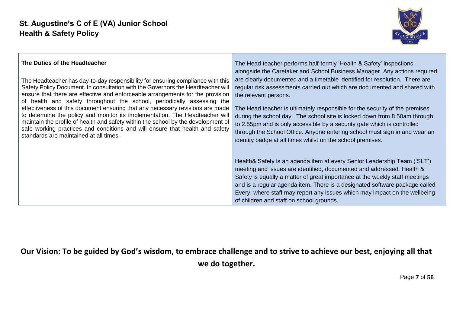

| The Duties of the Headteacher                                                     | The Head teacher performs half-termly 'Health & Safety' inspections                                                                                                                                                                                                                                                                                                                                                                       |
|-----------------------------------------------------------------------------------|-------------------------------------------------------------------------------------------------------------------------------------------------------------------------------------------------------------------------------------------------------------------------------------------------------------------------------------------------------------------------------------------------------------------------------------------|
| The Headteacher has day-to-day responsibility for ensuring compliance with this   | alongside the Caretaker and School Business Manager. Any actions required                                                                                                                                                                                                                                                                                                                                                                 |
| Safety Policy Document. In consultation with the Governors the Headteacher will   | are clearly documented and a timetable identified for resolution. There are                                                                                                                                                                                                                                                                                                                                                               |
| ensure that there are effective and enforceable arrangements for the provision    | regular risk assessments carried out which are documented and shared with                                                                                                                                                                                                                                                                                                                                                                 |
| of health and safety throughout the school, periodically assessing the            | the relevant persons.                                                                                                                                                                                                                                                                                                                                                                                                                     |
| effectiveness of this document ensuring that any necessary revisions are made     | The Head teacher is ultimately responsible for the security of the premises                                                                                                                                                                                                                                                                                                                                                               |
| to determine the policy and monitor its implementation. The Headteacher will      | during the school day. The school site is locked down from 8.50am through                                                                                                                                                                                                                                                                                                                                                                 |
| maintain the profile of health and safety within the school by the development of | to 2.55pm and is only accessible by a security gate which is controlled                                                                                                                                                                                                                                                                                                                                                                   |
| safe working practices and conditions and will ensure that health and safety      | through the School Office. Anyone entering school must sign in and wear an                                                                                                                                                                                                                                                                                                                                                                |
| standards are maintained at all times.                                            | identity badge at all times whilst on the school premises.                                                                                                                                                                                                                                                                                                                                                                                |
|                                                                                   | Health& Safety is an agenda item at every Senior Leadership Team ('SLT')<br>meeting and issues are identified, documented and addressed. Health &<br>Safety is equally a matter of great importance at the weekly staff meetings<br>and is a regular agenda item. There is a designated software package called<br>Every, where staff may report any issues which may impact on the wellbeing<br>of children and staff on school grounds. |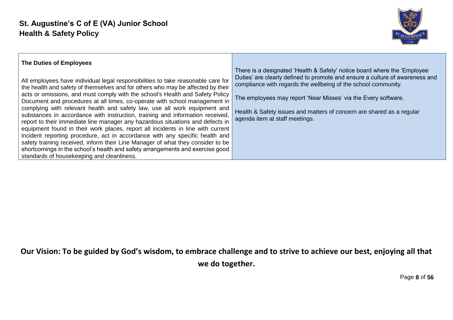

| The Duties of Employees |  |  |
|-------------------------|--|--|
|-------------------------|--|--|

All employees have individual legal responsibilities to take reasonable care for the health and safety of themselves and for others who may be affected by their acts or omissions, and must comply with the school's Health and Safety Policy Document and procedures at all times, co-operate with school management in complying with relevant health and safety law, use all work equipment and substances in accordance with instruction, training and information received, report to their immediate line manager any hazardous situations and defects in equipment found in their work places, report all incidents in line with current incident reporting procedure, act in accordance with any specific health and safety training received, inform their Line Manager of what they consider to be shortcomings in the school's health and safety arrangements and exercise good standards of housekeeping and cleanliness.

There is a designated 'Health & Safety' notice board where the 'Employee Duties' are clearly defined to promote and ensure a culture of awareness and compliance with regards the wellbeing of the school community.

The employees may report 'Near Misses' via the Every software.

Health & Safety issues and matters of concern are shared as a regular agenda item at staff meetings.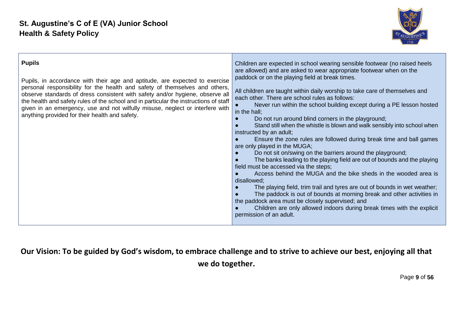

| <b>Pupils</b><br>Pupils, in accordance with their age and aptitude, are expected to exercise<br>personal responsibility for the health and safety of themselves and others,<br>observe standards of dress consistent with safety and/or hygiene, observe all<br>the health and safety rules of the school and in particular the instructions of staff<br>given in an emergency, use and not wilfully misuse, neglect or interfere with<br>anything provided for their health and safety. | Children are expected in school wearing sensible footwear (no raised heels<br>are allowed) and are asked to wear appropriate footwear when on the<br>paddock or on the playing field at break times.<br>All children are taught within daily worship to take care of themselves and<br>each other. There are school rules as follows:<br>Never run within the school building except during a PE lesson hosted<br>in the hall;<br>Do not run around blind corners in the playground;<br>Stand still when the whistle is blown and walk sensibly into school when<br>instructed by an adult;<br>Ensure the zone rules are followed during break time and ball games<br>are only played in the MUGA;<br>Do not sit on/swing on the barriers around the playground;<br>The banks leading to the playing field are out of bounds and the playing<br>field must be accessed via the steps;<br>Access behind the MUGA and the bike sheds in the wooded area is<br>disallowed;<br>The playing field, trim trail and tyres are out of bounds in wet weather;<br>The paddock is out of bounds at morning break and other activities in<br>the paddock area must be closely supervised; and<br>Children are only allowed indoors during break times with the explicit<br>permission of an adult. |
|------------------------------------------------------------------------------------------------------------------------------------------------------------------------------------------------------------------------------------------------------------------------------------------------------------------------------------------------------------------------------------------------------------------------------------------------------------------------------------------|----------------------------------------------------------------------------------------------------------------------------------------------------------------------------------------------------------------------------------------------------------------------------------------------------------------------------------------------------------------------------------------------------------------------------------------------------------------------------------------------------------------------------------------------------------------------------------------------------------------------------------------------------------------------------------------------------------------------------------------------------------------------------------------------------------------------------------------------------------------------------------------------------------------------------------------------------------------------------------------------------------------------------------------------------------------------------------------------------------------------------------------------------------------------------------------------------------------------------------------------------------------------------------------|
|------------------------------------------------------------------------------------------------------------------------------------------------------------------------------------------------------------------------------------------------------------------------------------------------------------------------------------------------------------------------------------------------------------------------------------------------------------------------------------------|----------------------------------------------------------------------------------------------------------------------------------------------------------------------------------------------------------------------------------------------------------------------------------------------------------------------------------------------------------------------------------------------------------------------------------------------------------------------------------------------------------------------------------------------------------------------------------------------------------------------------------------------------------------------------------------------------------------------------------------------------------------------------------------------------------------------------------------------------------------------------------------------------------------------------------------------------------------------------------------------------------------------------------------------------------------------------------------------------------------------------------------------------------------------------------------------------------------------------------------------------------------------------------------|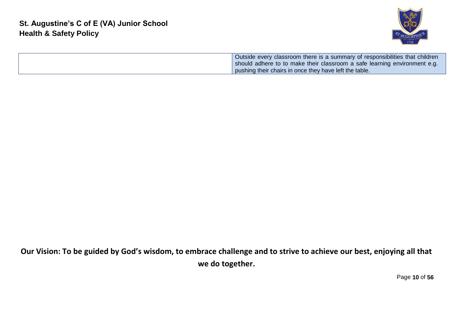

Outside every classroom there is a summary of responsibilities that children should adhere to to make their classroom a safe learning environment e.g. pushing their chairs in once they have left the table.

**Our Vision: To be guided by God's wisdom, to embrace challenge and to strive to achieve our best, enjoying all that we do together.**

Page **10** of **56**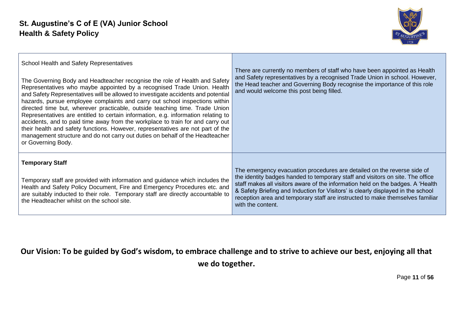

| School Health and Safety Representatives<br>The Governing Body and Headteacher recognise the role of Health and Safety<br>Representatives who maybe appointed by a recognised Trade Union. Health<br>and Safety Representatives will be allowed to investigate accidents and potential<br>hazards, pursue employee complaints and carry out school inspections within<br>directed time but, wherever practicable, outside teaching time. Trade Union<br>Representatives are entitled to certain information, e.g. information relating to<br>accidents, and to paid time away from the workplace to train for and carry out<br>their health and safety functions. However, representatives are not part of the<br>management structure and do not carry out duties on behalf of the Headteacher<br>or Governing Body. | There are currently no members of staff who have been appointed as Health<br>and Safety representatives by a recognised Trade Union in school. However,<br>the Head teacher and Governing Body recognise the importance of this role<br>and would welcome this post being filled.                                                                                                                                                      |
|-----------------------------------------------------------------------------------------------------------------------------------------------------------------------------------------------------------------------------------------------------------------------------------------------------------------------------------------------------------------------------------------------------------------------------------------------------------------------------------------------------------------------------------------------------------------------------------------------------------------------------------------------------------------------------------------------------------------------------------------------------------------------------------------------------------------------|----------------------------------------------------------------------------------------------------------------------------------------------------------------------------------------------------------------------------------------------------------------------------------------------------------------------------------------------------------------------------------------------------------------------------------------|
| <b>Temporary Staff</b><br>Temporary staff are provided with information and guidance which includes the<br>Health and Safety Policy Document, Fire and Emergency Procedures etc. and<br>are suitably inducted to their role. Temporary staff are directly accountable to<br>the Headteacher whilst on the school site.                                                                                                                                                                                                                                                                                                                                                                                                                                                                                                | The emergency evacuation procedures are detailed on the reverse side of<br>the identity badges handed to temporary staff and visitors on site. The office<br>staff makes all visitors aware of the information held on the badges. A 'Health<br>& Safety Briefing and Induction for Visitors' is clearly displayed in the school<br>reception area and temporary staff are instructed to make themselves familiar<br>with the content. |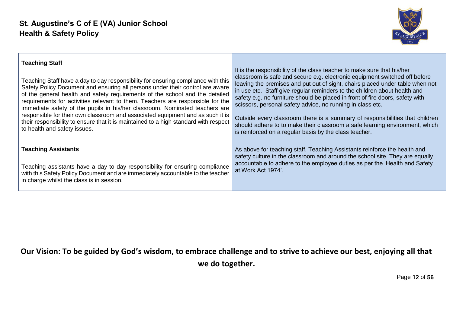

| <b>Teaching Staff</b>                                                                | It is the responsibility of the class teacher to make sure that his/her       |
|--------------------------------------------------------------------------------------|-------------------------------------------------------------------------------|
| Teaching Staff have a day to day responsibility for ensuring compliance with this    | classroom is safe and secure e.g. electronic equipment switched off before    |
| Safety Policy Document and ensuring all persons under their control are aware        | leaving the premises and put out of sight, chairs placed under table when not |
| of the general health and safety requirements of the school and the detailed         | in use etc. Staff give regular reminders to the children about health and     |
| requirements for activities relevant to them. Teachers are responsible for the       | safety e.g. no furniture should be placed in front of fire doors, safety with |
| immediate safety of the pupils in his/her classroom. Nominated teachers are          | scissors, personal safety advice, no running in class etc.                    |
| responsible for their own classroom and associated equipment and as such it is       | Outside every classroom there is a summary of responsibilities that children  |
| their responsibility to ensure that it is maintained to a high standard with respect | should adhere to to make their classroom a safe learning environment, which   |
| to health and safety issues.                                                         | is reinforced on a regular basis by the class teacher.                        |
| <b>Teaching Assistants</b>                                                           | As above for teaching staff, Teaching Assistants reinforce the health and     |
| Teaching assistants have a day to day responsibility for ensuring compliance         | safety culture in the classroom and around the school site. They are equally  |
| with this Safety Policy Document and are immediately accountable to the teacher      | accountable to adhere to the employee duties as per the 'Health and Safety    |
| in charge whilst the class is in session.                                            | at Work Act 1974'.                                                            |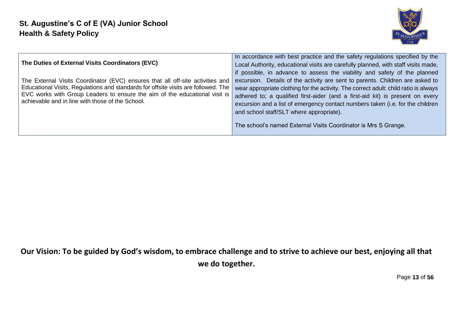

| The Duties of External Visits Coordinators (EVC)                                                                                                                                                                                                                                                       | In accordance with best practice and the safety regulations specified by the<br>Local Authority, educational visits are carefully planned, with staff visits made,<br>if possible, in advance to assess the viability and safety of the planned                                                                                                                                                                                                         |
|--------------------------------------------------------------------------------------------------------------------------------------------------------------------------------------------------------------------------------------------------------------------------------------------------------|---------------------------------------------------------------------------------------------------------------------------------------------------------------------------------------------------------------------------------------------------------------------------------------------------------------------------------------------------------------------------------------------------------------------------------------------------------|
| The External Visits Coordinator (EVC) ensures that all off-site activities and<br>Educational Visits, Regulations and standards for offsite visits are followed. The<br>EVC works with Group Leaders to ensure the aim of the educational visit is<br>achievable and in line with those of the School. | excursion. Details of the activity are sent to parents. Children are asked to<br>wear appropriate clothing for the activity. The correct adult: child ratio is always<br>adhered to; a qualified first-aider (and a first-aid kit) is present on every<br>excursion and a list of emergency contact numbers taken (i.e. for the children<br>and school staff/SLT where appropriate).<br>The school's named External Visits Coordinator is Mrs S Grange. |

Page **13** of **56**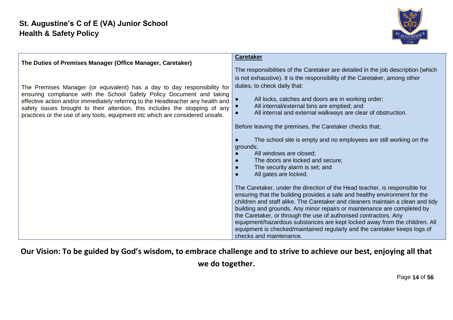

| The Duties of Premises Manager (Office Manager, Caretaker)                                                                                                                                                                                                                                                                                                                                           | <b>Caretaker</b><br>The responsibilities of the Caretaker are detailed in the job description (which                                                                                                                                                                                                                                                                                                                                                                                                                                                                            |
|------------------------------------------------------------------------------------------------------------------------------------------------------------------------------------------------------------------------------------------------------------------------------------------------------------------------------------------------------------------------------------------------------|---------------------------------------------------------------------------------------------------------------------------------------------------------------------------------------------------------------------------------------------------------------------------------------------------------------------------------------------------------------------------------------------------------------------------------------------------------------------------------------------------------------------------------------------------------------------------------|
| The Premises Manager (or equivalent) has a day to day responsibility for<br>ensuring compliance with the School Safety Policy Document and taking<br>effective action and/or immediately referring to the Headteacher any health and<br>safety issues brought to their attention, this includes the stopping of any<br>practices or the use of any tools, equipment etc which are considered unsafe. | is not exhaustive). It is the responsibility of the Caretaker, among other<br>duties, to check daily that:<br>All locks, catches and doors are in working order;<br>All internal/external bins are emptied; and<br>All internal and external walkways are clear of obstruction.                                                                                                                                                                                                                                                                                                 |
|                                                                                                                                                                                                                                                                                                                                                                                                      | Before leaving the premises, the Caretaker checks that;<br>The school site is empty and no employees are still working on the<br>grounds;<br>All windows are closed;<br>The doors are locked and secure;<br>The security alarm is set; and<br>All gates are locked.                                                                                                                                                                                                                                                                                                             |
|                                                                                                                                                                                                                                                                                                                                                                                                      | The Caretaker, under the direction of the Head teacher, is responsible for<br>ensuring that the building provides a safe and healthy environment for the<br>children and staff alike. The Caretaker and cleaners maintain a clean and tidy<br>building and grounds. Any minor repairs or maintenance are completed by<br>the Caretaker, or through the use of authorised contractors. Any<br>equipment/hazardous substances are kept locked away from the children. All<br>equipment is checked/maintained regularly and the caretaker keeps logs of<br>checks and maintenance. |

Page **14** of **56**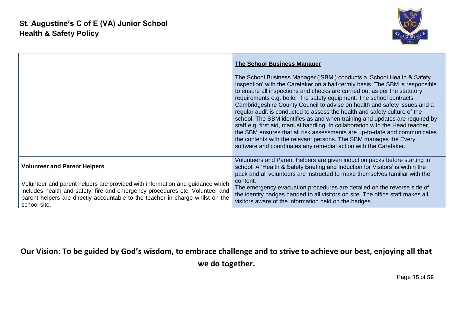

|                                                                                                                                                                                                                                                                 | <b>The School Business Manager</b><br>The School Business Manager ('SBM') conducts a 'School Health & Safety<br>Inspection' with the Caretaker on a half-termly basis. The SBM is responsible<br>to ensure all inspections and checks are carried out as per the statutory<br>requirements e.g. boiler, fire safety equipment. The school contracts<br>Cambridgeshire County Council to advise on health and safety issues and a<br>regular audit is conducted to assess the health and safety culture of the<br>school. The SBM identifies as and when training and updates are required by<br>staff e.g. first aid, manual handling. In collaboration with the Head teacher,<br>the SBM ensures that all risk assessments are up-to-date and communicates<br>the contents with the relevant persons. The SBM manages the Every<br>software and coordinates any remedial action with the Caretaker. |
|-----------------------------------------------------------------------------------------------------------------------------------------------------------------------------------------------------------------------------------------------------------------|------------------------------------------------------------------------------------------------------------------------------------------------------------------------------------------------------------------------------------------------------------------------------------------------------------------------------------------------------------------------------------------------------------------------------------------------------------------------------------------------------------------------------------------------------------------------------------------------------------------------------------------------------------------------------------------------------------------------------------------------------------------------------------------------------------------------------------------------------------------------------------------------------|
| <b>Volunteer and Parent Helpers</b>                                                                                                                                                                                                                             | Volunteers and Parent Helpers are given induction packs before starting in<br>school. A 'Health & Safety Briefing and Induction for Visitors' is within the<br>pack and all volunteers are instructed to make themselves familiar with the                                                                                                                                                                                                                                                                                                                                                                                                                                                                                                                                                                                                                                                           |
| Volunteer and parent helpers are provided with information and guidance which<br>includes health and safety, fire and emergency procedures etc. Volunteer and<br>parent helpers are directly accountable to the teacher in charge whilst on the<br>school site. | content.<br>The emergency evacuation procedures are detailed on the reverse side of<br>the identity badges handed to all visitors on site. The office staff makes all<br>visitors aware of the information held on the badges                                                                                                                                                                                                                                                                                                                                                                                                                                                                                                                                                                                                                                                                        |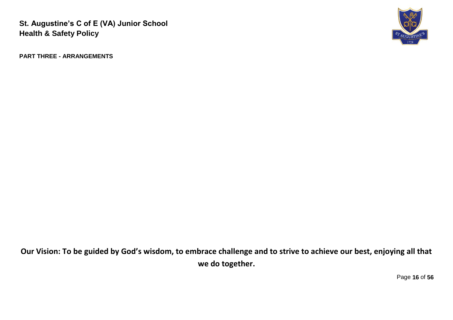

**PART THREE - ARRANGEMENTS**

**Our Vision: To be guided by God's wisdom, to embrace challenge and to strive to achieve our best, enjoying all that we do together.**

Page **16** of **56**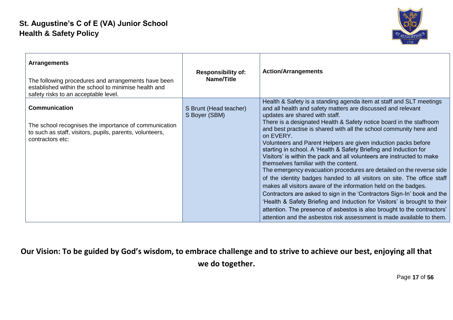

| <b>Arrangements</b><br>The following procedures and arrangements have been<br>established within the school to minimise health and<br>safety risks to an acceptable level. | <b>Responsibility of:</b><br>Name/Title | <b>Action/Arrangements</b>                                                                                                                                                                                                                                                                                                                                                                                                                                                                                                                                                                                                                                                                                                                                                                                                                                                                                                                                                                                                                                                                                                  |
|----------------------------------------------------------------------------------------------------------------------------------------------------------------------------|-----------------------------------------|-----------------------------------------------------------------------------------------------------------------------------------------------------------------------------------------------------------------------------------------------------------------------------------------------------------------------------------------------------------------------------------------------------------------------------------------------------------------------------------------------------------------------------------------------------------------------------------------------------------------------------------------------------------------------------------------------------------------------------------------------------------------------------------------------------------------------------------------------------------------------------------------------------------------------------------------------------------------------------------------------------------------------------------------------------------------------------------------------------------------------------|
| <b>Communication</b><br>The school recognises the importance of communication<br>to such as staff, visitors, pupils, parents, volunteers,<br>contractors etc:              | S Brunt (Head teacher)<br>S Boyer (SBM) | Health & Safety is a standing agenda item at staff and SLT meetings<br>and all health and safety matters are discussed and relevant<br>updates are shared with staff.<br>There is a designated Health & Safety notice board in the staffroom<br>and best practise is shared with all the school community here and<br>on EVERY.<br>Volunteers and Parent Helpers are given induction packs before<br>starting in school. A 'Health & Safety Briefing and Induction for<br>Visitors' is within the pack and all volunteers are instructed to make<br>themselves familiar with the content.<br>The emergency evacuation procedures are detailed on the reverse side<br>of the identity badges handed to all visitors on site. The office staff<br>makes all visitors aware of the information held on the badges.<br>Contractors are asked to sign in the 'Contractors Sign-In' book and the<br>'Health & Safety Briefing and Induction for Visitors' is brought to their<br>attention. The presence of asbestos is also brought to the contractors'<br>attention and the asbestos risk assessment is made available to them. |

Page **17** of **56**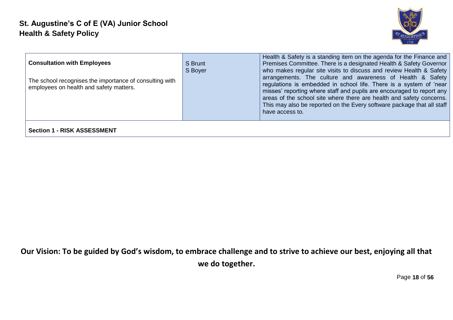

| <b>Consultation with Employees</b><br>The school recognises the importance of consulting with<br>employees on health and safety matters. | S Brunt<br>S Boyer | Health & Safety is a standing item on the agenda for the Finance and<br>Premises Committee. There is a designated Health & Safety Governor<br>who makes regular site visits to discuss and review Health & Safety<br>arrangements. The culture and awareness of Health & Safety<br>regulations is embedded in school life. There is a system of 'near<br>misses' reporting where staff and pupils are encouraged to report any<br>areas of the school site where there are health and safety concerns.<br>This may also be reported on the Every software package that all staff<br>have access to. |
|------------------------------------------------------------------------------------------------------------------------------------------|--------------------|-----------------------------------------------------------------------------------------------------------------------------------------------------------------------------------------------------------------------------------------------------------------------------------------------------------------------------------------------------------------------------------------------------------------------------------------------------------------------------------------------------------------------------------------------------------------------------------------------------|
| <b>Section 1 - RISK ASSESSMENT</b>                                                                                                       |                    |                                                                                                                                                                                                                                                                                                                                                                                                                                                                                                                                                                                                     |

Page **18** of **56**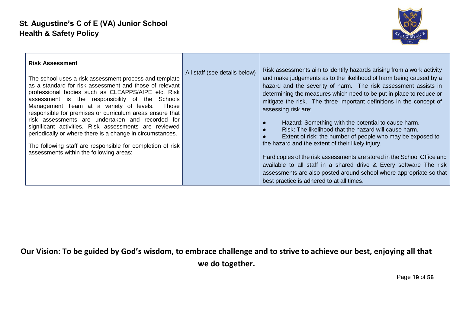

| <b>Risk Assessment</b><br>The school uses a risk assessment process and template<br>as a standard for risk assessment and those of relevant<br>professional bodies such as CLEAPPS/AfPE etc. Risk<br>assessment is the responsibility of the Schools<br>Management Team at a variety of levels.<br>Those<br>responsible for premises or curriculum areas ensure that<br>risk assessments are undertaken and recorded for<br>significant activities. Risk assessments are reviewed<br>periodically or where there is a change in circumstances.<br>The following staff are responsible for completion of risk<br>assessments within the following areas: | All staff (see details below) | Risk assessments aim to identify hazards arising from a work activity<br>and make judgements as to the likelihood of harm being caused by a<br>hazard and the severity of harm. The risk assessment assists in<br>determining the measures which need to be put in place to reduce or<br>mitigate the risk. The three important definitions in the concept of<br>assessing risk are:<br>Hazard: Something with the potential to cause harm.<br>Risk: The likelihood that the hazard will cause harm.<br>Extent of risk: the number of people who may be exposed to<br>the hazard and the extent of their likely injury.<br>Hard copies of the risk assessments are stored in the School Office and<br>available to all staff in a shared drive & Every software The risk<br>assessments are also posted around school where appropriate so that<br>best practice is adhered to at all times. |
|---------------------------------------------------------------------------------------------------------------------------------------------------------------------------------------------------------------------------------------------------------------------------------------------------------------------------------------------------------------------------------------------------------------------------------------------------------------------------------------------------------------------------------------------------------------------------------------------------------------------------------------------------------|-------------------------------|----------------------------------------------------------------------------------------------------------------------------------------------------------------------------------------------------------------------------------------------------------------------------------------------------------------------------------------------------------------------------------------------------------------------------------------------------------------------------------------------------------------------------------------------------------------------------------------------------------------------------------------------------------------------------------------------------------------------------------------------------------------------------------------------------------------------------------------------------------------------------------------------|
|---------------------------------------------------------------------------------------------------------------------------------------------------------------------------------------------------------------------------------------------------------------------------------------------------------------------------------------------------------------------------------------------------------------------------------------------------------------------------------------------------------------------------------------------------------------------------------------------------------------------------------------------------------|-------------------------------|----------------------------------------------------------------------------------------------------------------------------------------------------------------------------------------------------------------------------------------------------------------------------------------------------------------------------------------------------------------------------------------------------------------------------------------------------------------------------------------------------------------------------------------------------------------------------------------------------------------------------------------------------------------------------------------------------------------------------------------------------------------------------------------------------------------------------------------------------------------------------------------------|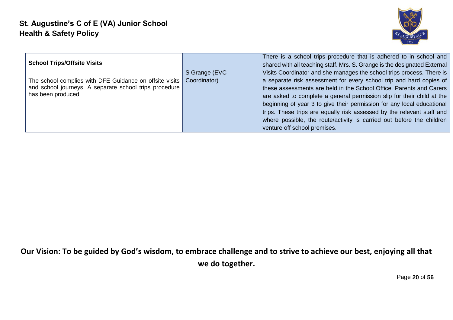

| <b>School Trips/Offsite Visits</b><br>The school complies with DFE Guidance on offsite visits<br>and school journeys. A separate school trips procedure<br>has been produced. | S Grange (EVC<br>Coordinator) | There is a school trips procedure that is adhered to in school and<br>shared with all teaching staff. Mrs. S. Grange is the designated External<br>Visits Coordinator and she manages the school trips process. There is<br>a separate risk assessment for every school trip and hard copies of<br>these assessments are held in the School Office. Parents and Carers<br>are asked to complete a general permission slip for their child at the<br>beginning of year 3 to give their permission for any local educational<br>trips. These trips are equally risk assessed by the relevant staff and<br>where possible, the route/activity is carried out before the children<br>venture off school premises. |
|-------------------------------------------------------------------------------------------------------------------------------------------------------------------------------|-------------------------------|---------------------------------------------------------------------------------------------------------------------------------------------------------------------------------------------------------------------------------------------------------------------------------------------------------------------------------------------------------------------------------------------------------------------------------------------------------------------------------------------------------------------------------------------------------------------------------------------------------------------------------------------------------------------------------------------------------------|
|-------------------------------------------------------------------------------------------------------------------------------------------------------------------------------|-------------------------------|---------------------------------------------------------------------------------------------------------------------------------------------------------------------------------------------------------------------------------------------------------------------------------------------------------------------------------------------------------------------------------------------------------------------------------------------------------------------------------------------------------------------------------------------------------------------------------------------------------------------------------------------------------------------------------------------------------------|

Page **20** of **56**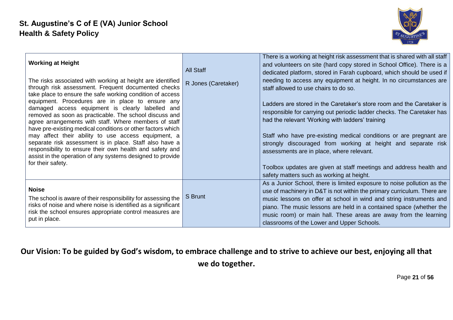

| <b>Working at Height</b>                                                                                                                                                                                                                                                                                                                                                                                                                                                                                                                                                                                                                                                                                                                  | <b>All Staff</b>    | There is a working at height risk assessment that is shared with all staff<br>and volunteers on site (hard copy stored in School Office). There is a<br>dedicated platform, stored in Farah cupboard, which should be used if                                                                                                                                                                                                                                                                                                                                                                                             |
|-------------------------------------------------------------------------------------------------------------------------------------------------------------------------------------------------------------------------------------------------------------------------------------------------------------------------------------------------------------------------------------------------------------------------------------------------------------------------------------------------------------------------------------------------------------------------------------------------------------------------------------------------------------------------------------------------------------------------------------------|---------------------|---------------------------------------------------------------------------------------------------------------------------------------------------------------------------------------------------------------------------------------------------------------------------------------------------------------------------------------------------------------------------------------------------------------------------------------------------------------------------------------------------------------------------------------------------------------------------------------------------------------------------|
| The risks associated with working at height are identified<br>through risk assessment. Frequent documented checks<br>take place to ensure the safe working condition of access<br>equipment. Procedures are in place to ensure any<br>damaged access equipment is clearly labelled and<br>removed as soon as practicable. The school discuss and<br>agree arrangements with staff. Where members of staff<br>have pre-existing medical conditions or other factors which<br>may affect their ability to use access equipment, a<br>separate risk assessment is in place. Staff also have a<br>responsibility to ensure their own health and safety and<br>assist in the operation of any systems designed to provide<br>for their safety. | R Jones (Caretaker) | needing to access any equipment at height. In no circumstances are<br>staff allowed to use chairs to do so.<br>Ladders are stored in the Caretaker's store room and the Caretaker is<br>responsible for carrying out periodic ladder checks. The Caretaker has<br>had the relevant 'Working with ladders' training<br>Staff who have pre-existing medical conditions or are pregnant are<br>strongly discouraged from working at height and separate risk<br>assessments are in place, where relevant.<br>Toolbox updates are given at staff meetings and address health and<br>safety matters such as working at height. |
| <b>Noise</b><br>The school is aware of their responsibility for assessing the<br>risks of noise and where noise is identified as a significant<br>risk the school ensures appropriate control measures are<br>put in place.                                                                                                                                                                                                                                                                                                                                                                                                                                                                                                               | S Brunt             | As a Junior School, there is limited exposure to noise pollution as the<br>use of machinery in D&T is not within the primary curriculum. There are<br>music lessons on offer at school in wind and string instruments and<br>piano. The music lessons are held in a contained space (whether the<br>music room) or main hall. These areas are away from the learning<br>classrooms of the Lower and Upper Schools.                                                                                                                                                                                                        |

Page **21** of **56**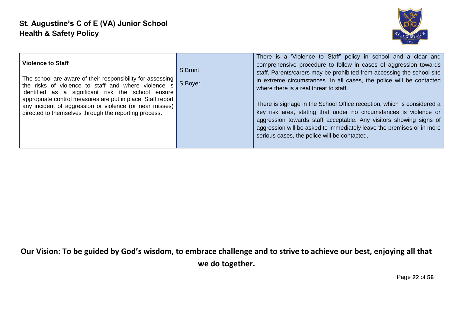

Page **22** of **56**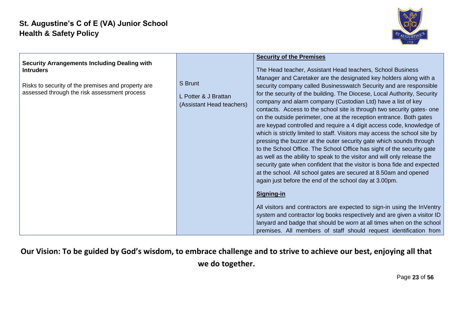

| <b>Security Arrangements Including Dealing with</b><br><b>Intruders</b><br>Risks to security of the premises and property are<br>assessed through the risk assessment process | S Brunt<br>L Potter & J Brattan<br>(Assistant Head teachers) | <b>Security of the Premises</b><br>The Head teacher, Assistant Head teachers, School Business<br>Manager and Caretaker are the designated key holders along with a<br>security company called Businesswatch Security and are responsible<br>for the security of the building. The Diocese, Local Authority, Security<br>company and alarm company (Custodian Ltd) have a list of key<br>contacts. Access to the school site is through two security gates- one<br>on the outside perimeter, one at the reception entrance. Both gates<br>are keypad controlled and require a 4 digit access code, knowledge of<br>which is strictly limited to staff. Visitors may access the school site by<br>pressing the buzzer at the outer security gate which sounds through<br>to the School Office. The School Office has sight of the security gate<br>as well as the ability to speak to the visitor and will only release the<br>security gate when confident that the visitor is bona fide and expected<br>at the school. All school gates are secured at 8.50am and opened<br>again just before the end of the school day at 3.00pm. |
|-------------------------------------------------------------------------------------------------------------------------------------------------------------------------------|--------------------------------------------------------------|------------------------------------------------------------------------------------------------------------------------------------------------------------------------------------------------------------------------------------------------------------------------------------------------------------------------------------------------------------------------------------------------------------------------------------------------------------------------------------------------------------------------------------------------------------------------------------------------------------------------------------------------------------------------------------------------------------------------------------------------------------------------------------------------------------------------------------------------------------------------------------------------------------------------------------------------------------------------------------------------------------------------------------------------------------------------------------------------------------------------------------|
|                                                                                                                                                                               |                                                              | <b>Signing-in</b><br>All visitors and contractors are expected to sign-in using the InVentry<br>system and contractor log books respectively and are given a visitor ID<br>lanyard and badge that should be worn at all times when on the school<br>premises. All members of staff should request identification from                                                                                                                                                                                                                                                                                                                                                                                                                                                                                                                                                                                                                                                                                                                                                                                                              |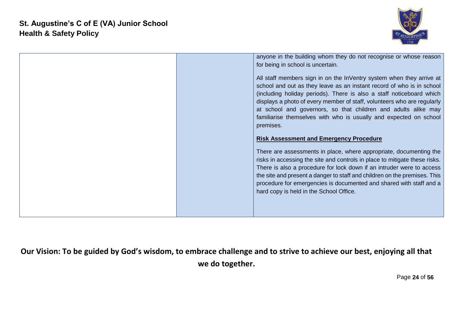

|  | anyone in the building whom they do not recognise or whose reason                                                                                                                                                                                                                                                                                                                                                                                    |
|--|------------------------------------------------------------------------------------------------------------------------------------------------------------------------------------------------------------------------------------------------------------------------------------------------------------------------------------------------------------------------------------------------------------------------------------------------------|
|  | for being in school is uncertain.                                                                                                                                                                                                                                                                                                                                                                                                                    |
|  | All staff members sign in on the InVentry system when they arrive at<br>school and out as they leave as an instant record of who is in school<br>(including holiday periods). There is also a staff noticeboard which<br>displays a photo of every member of staff, volunteers who are regularly<br>at school and governors, so that children and adults alike may<br>familiarise themselves with who is usually and expected on school<br>premises. |
|  | <b>Risk Assessment and Emergency Procedure</b>                                                                                                                                                                                                                                                                                                                                                                                                       |
|  |                                                                                                                                                                                                                                                                                                                                                                                                                                                      |
|  | There are assessments in place, where appropriate, documenting the<br>risks in accessing the site and controls in place to mitigate these risks.<br>There is also a procedure for lock down if an intruder were to access<br>the site and present a danger to staff and children on the premises. This<br>procedure for emergencies is documented and shared with staff and a<br>hard copy is held in the School Office.                             |
|  |                                                                                                                                                                                                                                                                                                                                                                                                                                                      |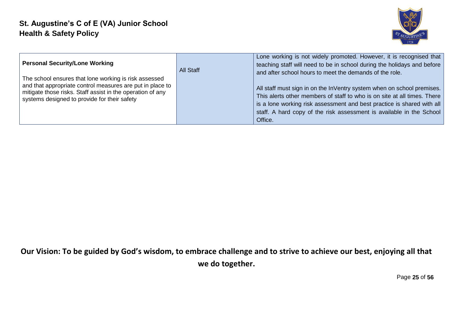

| <b>Personal Security/Lone Working</b><br>The school ensures that lone working is risk assessed<br>and that appropriate control measures are put in place to<br>mitigate those risks. Staff assist in the operation of any<br>systems designed to provide for their safety | All Staff | Lone working is not widely promoted. However, it is recognised that<br>teaching staff will need to be in school during the holidays and before<br>and after school hours to meet the demands of the role.<br>All staff must sign in on the InVentry system when on school premises.<br>This alerts other members of staff to who is on site at all times. There<br>is a lone working risk assessment and best practice is shared with all<br>staff. A hard copy of the risk assessment is available in the School<br>Office. |
|---------------------------------------------------------------------------------------------------------------------------------------------------------------------------------------------------------------------------------------------------------------------------|-----------|------------------------------------------------------------------------------------------------------------------------------------------------------------------------------------------------------------------------------------------------------------------------------------------------------------------------------------------------------------------------------------------------------------------------------------------------------------------------------------------------------------------------------|
|---------------------------------------------------------------------------------------------------------------------------------------------------------------------------------------------------------------------------------------------------------------------------|-----------|------------------------------------------------------------------------------------------------------------------------------------------------------------------------------------------------------------------------------------------------------------------------------------------------------------------------------------------------------------------------------------------------------------------------------------------------------------------------------------------------------------------------------|

Page **25** of **56**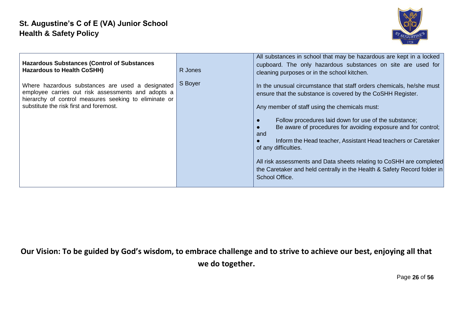

| <b>Hazardous Substances (Control of Substances)</b><br><b>Hazardous to Health CoSHH)</b>                                                                                                                   | R Jones | All substances in school that may be hazardous are kept in a locked<br>cupboard. The only hazardous substances on site are used for<br>cleaning purposes or in the school kitchen.                                                                                                                                                                                                                                                                                                                                                                                                   |
|------------------------------------------------------------------------------------------------------------------------------------------------------------------------------------------------------------|---------|--------------------------------------------------------------------------------------------------------------------------------------------------------------------------------------------------------------------------------------------------------------------------------------------------------------------------------------------------------------------------------------------------------------------------------------------------------------------------------------------------------------------------------------------------------------------------------------|
| Where hazardous substances are used a designated<br>employee carries out risk assessments and adopts a<br>hierarchy of control measures seeking to eliminate or<br>substitute the risk first and foremost. | S Boyer | In the unusual circumstance that staff orders chemicals, he/she must<br>ensure that the substance is covered by the CoSHH Register.<br>Any member of staff using the chemicals must:<br>Follow procedures laid down for use of the substance;<br>Be aware of procedures for avoiding exposure and for control;<br>and<br>Inform the Head teacher, Assistant Head teachers or Caretaker<br>of any difficulties.<br>All risk assessments and Data sheets relating to CoSHH are completed<br>the Caretaker and held centrally in the Health & Safety Record folder in<br>School Office. |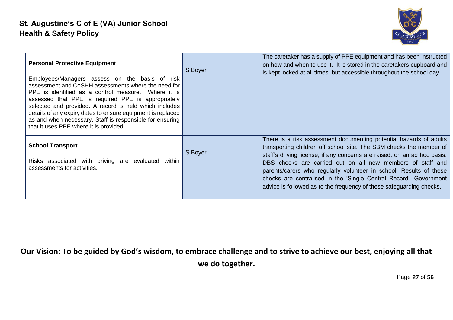

| <b>Personal Protective Equipment</b><br>Employees/Managers assess on the basis of risk<br>assessment and CoSHH assessments where the need for<br>PPE is identified as a control measure. Where it is<br>assessed that PPE is required PPE is appropriately<br>selected and provided. A record is held which includes<br>details of any expiry dates to ensure equipment is replaced<br>as and when necessary. Staff is responsible for ensuring<br>that it uses PPE where it is provided. | S Boyer | The caretaker has a supply of PPE equipment and has been instructed<br>on how and when to use it. It is stored in the caretakers cupboard and<br>is kept locked at all times, but accessible throughout the school day.                                                                                                                                                                                                                                                                                |
|-------------------------------------------------------------------------------------------------------------------------------------------------------------------------------------------------------------------------------------------------------------------------------------------------------------------------------------------------------------------------------------------------------------------------------------------------------------------------------------------|---------|--------------------------------------------------------------------------------------------------------------------------------------------------------------------------------------------------------------------------------------------------------------------------------------------------------------------------------------------------------------------------------------------------------------------------------------------------------------------------------------------------------|
| <b>School Transport</b><br>Risks associated with driving are evaluated within<br>assessments for activities.                                                                                                                                                                                                                                                                                                                                                                              | S Boyer | There is a risk assessment documenting potential hazards of adults<br>transporting children off school site. The SBM checks the member of<br>staff's driving license, if any concerns are raised, on an ad hoc basis.<br>DBS checks are carried out on all new members of staff and<br>parents/carers who regularly volunteer in school. Results of these<br>checks are centralised in the 'Single Central Record'. Government<br>advice is followed as to the frequency of these safeguarding checks. |

Page **27** of **56**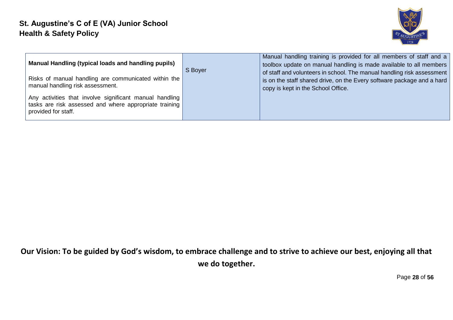

| Manual Handling (typical loads and handling pupils)<br>Risks of manual handling are communicated within the<br>manual handling risk assessment. | S Boyer | Manual handling training is provided for all members of staff and a<br>toolbox update on manual handling is made available to all members<br>of staff and volunteers in school. The manual handling risk assessment<br>is on the staff shared drive, on the Every software package and a hard<br>copy is kept in the School Office. |
|-------------------------------------------------------------------------------------------------------------------------------------------------|---------|-------------------------------------------------------------------------------------------------------------------------------------------------------------------------------------------------------------------------------------------------------------------------------------------------------------------------------------|
| Any activities that involve significant manual handling<br>tasks are risk assessed and where appropriate training<br>provided for staff.        |         |                                                                                                                                                                                                                                                                                                                                     |

Page **28** of **56**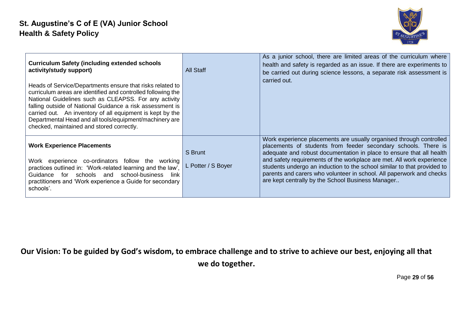

| <b>Curriculum Safety (including extended schools</b><br>activity/study support)<br>Heads of Service/Departments ensure that risks related to<br>curriculum areas are identified and controlled following the<br>National Guidelines such as CLEAPSS. For any activity<br>falling outside of National Guidance a risk assessment is<br>carried out. An inventory of all equipment is kept by the<br>Departmental Head and all tools/equipment/machinery are<br>checked, maintained and stored correctly. | All Staff                     | As a junior school, there are limited areas of the curriculum where<br>health and safety is regarded as an issue. If there are experiments to<br>be carried out during science lessons, a separate risk assessment is<br>carried out.                                                                                                                                                                                                                                                          |
|---------------------------------------------------------------------------------------------------------------------------------------------------------------------------------------------------------------------------------------------------------------------------------------------------------------------------------------------------------------------------------------------------------------------------------------------------------------------------------------------------------|-------------------------------|------------------------------------------------------------------------------------------------------------------------------------------------------------------------------------------------------------------------------------------------------------------------------------------------------------------------------------------------------------------------------------------------------------------------------------------------------------------------------------------------|
| <b>Work Experience Placements</b><br>Work experience co-ordinators follow the working<br>practices outlined in: 'Work-related learning and the law',<br>Guidance for schools and school-business<br>link<br>practitioners and 'Work experience a Guide for secondary<br>schools'.                                                                                                                                                                                                                       | S Brunt<br>L Potter / S Boyer | Work experience placements are usually organised through controlled<br>placements of students from feeder secondary schools. There is<br>adequate and robust documentation in place to ensure that all health<br>and safety requirements of the workplace are met. All work experience<br>students undergo an induction to the school similar to that provided to<br>parents and carers who volunteer in school. All paperwork and checks<br>are kept centrally by the School Business Manager |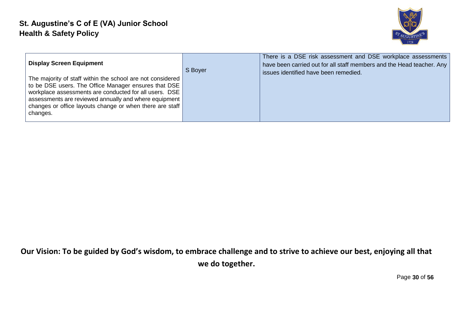

| <b>Display Screen Equipment</b>                                                                                                                                                                                                                                                                                 | S Boyer | There is a DSE risk assessment and DSE workplace assessments<br>have been carried out for all staff members and the Head teacher. Any<br>issues identified have been remedied. |
|-----------------------------------------------------------------------------------------------------------------------------------------------------------------------------------------------------------------------------------------------------------------------------------------------------------------|---------|--------------------------------------------------------------------------------------------------------------------------------------------------------------------------------|
| The majority of staff within the school are not considered<br>to be DSE users. The Office Manager ensures that DSE<br>workplace assessments are conducted for all users. DSE<br>assessments are reviewed annually and where equipment  <br>changes or office layouts change or when there are staff<br>changes. |         |                                                                                                                                                                                |

Page **30** of **56**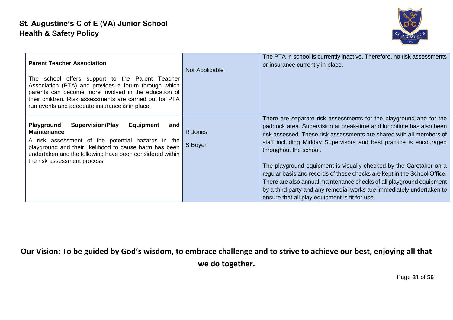

| <b>Parent Teacher Association</b><br>The school offers support to the Parent Teacher<br>Association (PTA) and provides a forum through which<br>parents can become more involved in the education of<br>their children. Risk assessments are carried out for PTA<br>run events and adequate insurance is in place. | Not Applicable     | The PTA in school is currently inactive. Therefore, no risk assessments<br>or insurance currently in place.                                                                                                                                                                                                                                                                                                                                                                                                                                                                                                                                                            |
|--------------------------------------------------------------------------------------------------------------------------------------------------------------------------------------------------------------------------------------------------------------------------------------------------------------------|--------------------|------------------------------------------------------------------------------------------------------------------------------------------------------------------------------------------------------------------------------------------------------------------------------------------------------------------------------------------------------------------------------------------------------------------------------------------------------------------------------------------------------------------------------------------------------------------------------------------------------------------------------------------------------------------------|
| Playground<br><b>Supervision/Play</b><br>Equipment<br>and<br><b>Maintenance</b><br>A risk assessment of the potential hazards in the<br>playground and their likelihood to cause harm has been<br>undertaken and the following have been considered within<br>the risk assessment process                          | R Jones<br>S Boyer | There are separate risk assessments for the playground and for the<br>paddock area. Supervision at break-time and lunchtime has also been<br>risk assessed. These risk assessments are shared with all members of<br>staff including Midday Supervisors and best practice is encouraged<br>throughout the school.<br>The playground equipment is visually checked by the Caretaker on a<br>regular basis and records of these checks are kept in the School Office.<br>There are also annual maintenance checks of all playground equipment<br>by a third party and any remedial works are immediately undertaken to<br>ensure that all play equipment is fit for use. |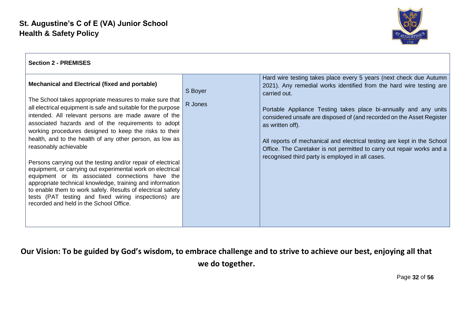

| <b>Section 2 - PREMISES</b>                                                                                                                                                                                                                                                                                                                                   |         |                                                                                                                                                                                                       |
|---------------------------------------------------------------------------------------------------------------------------------------------------------------------------------------------------------------------------------------------------------------------------------------------------------------------------------------------------------------|---------|-------------------------------------------------------------------------------------------------------------------------------------------------------------------------------------------------------|
| <b>Mechanical and Electrical (fixed and portable)</b>                                                                                                                                                                                                                                                                                                         | S Boyer | Hard wire testing takes place every 5 years (next check due Autumn<br>2021). Any remedial works identified from the hard wire testing are<br>carried out.                                             |
| The School takes appropriate measures to make sure that<br>all electrical equipment is safe and suitable for the purpose<br>intended. All relevant persons are made aware of the<br>associated hazards and of the requirements to adopt<br>working procedures designed to keep the risks to their<br>health, and to the health of any other person, as low as | R Jones | Portable Appliance Testing takes place bi-annually and any units<br>considered unsafe are disposed of (and recorded on the Asset Register<br>as written off).                                         |
| reasonably achievable<br>Persons carrying out the testing and/or repair of electrical<br>equipment, or carrying out experimental work on electrical                                                                                                                                                                                                           |         | All reports of mechanical and electrical testing are kept in the School<br>Office. The Caretaker is not permitted to carry out repair works and a<br>recognised third party is employed in all cases. |
| equipment or its associated connections have the<br>appropriate technical knowledge, training and information<br>to enable them to work safely. Results of electrical safety<br>tests (PAT testing and fixed wiring inspections) are<br>recorded and held in the School Office.                                                                               |         |                                                                                                                                                                                                       |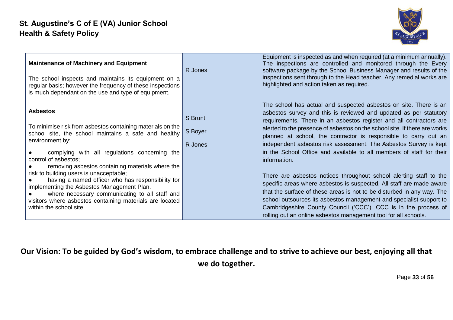

| <b>Maintenance of Machinery and Equipment</b><br>The school inspects and maintains its equipment on a<br>regular basis; however the frequency of these inspections<br>is much dependant on the use and type of equipment.                                                                                                                                                                                                                                                                                                                                                    | R Jones                       | Equipment is inspected as and when required (at a minimum annually).<br>The inspections are controlled and monitored through the Every<br>software package by the School Business Manager and results of the<br>inspections sent through to the Head teacher. Any remedial works are<br>highlighted and action taken as required.                                                                                                                                                                                                                                                                                                                                                                                                                                                                                                                                                                                                                                 |
|------------------------------------------------------------------------------------------------------------------------------------------------------------------------------------------------------------------------------------------------------------------------------------------------------------------------------------------------------------------------------------------------------------------------------------------------------------------------------------------------------------------------------------------------------------------------------|-------------------------------|-------------------------------------------------------------------------------------------------------------------------------------------------------------------------------------------------------------------------------------------------------------------------------------------------------------------------------------------------------------------------------------------------------------------------------------------------------------------------------------------------------------------------------------------------------------------------------------------------------------------------------------------------------------------------------------------------------------------------------------------------------------------------------------------------------------------------------------------------------------------------------------------------------------------------------------------------------------------|
| <b>Asbestos</b><br>To minimise risk from asbestos containing materials on the<br>school site, the school maintains a safe and healthy<br>environment by:<br>complying with all regulations concerning the<br>control of asbestos;<br>removing asbestos containing materials where the<br>risk to building users is unacceptable;<br>having a named officer who has responsibility for<br>implementing the Asbestos Management Plan.<br>where necessary communicating to all staff and<br>visitors where asbestos containing materials are located<br>within the school site. | S Brunt<br>S Boyer<br>R Jones | The school has actual and suspected asbestos on site. There is an<br>asbestos survey and this is reviewed and updated as per statutory<br>requirements. There in an asbestos register and all contractors are<br>alerted to the presence of asbestos on the school site. If there are works<br>planned at school, the contractor is responsible to carry out an<br>independent asbestos risk assessment. The Asbestos Survey is kept<br>in the School Office and available to all members of staff for their<br>information.<br>There are asbestos notices throughout school alerting staff to the<br>specific areas where asbestos is suspected. All staff are made aware<br>that the surface of these areas is not to be disturbed in any way. The<br>school outsources its asbestos management and specialist support to<br>Cambridgeshire County Council ('CCC'). CCC is in the process of<br>rolling out an online asbestos management tool for all schools. |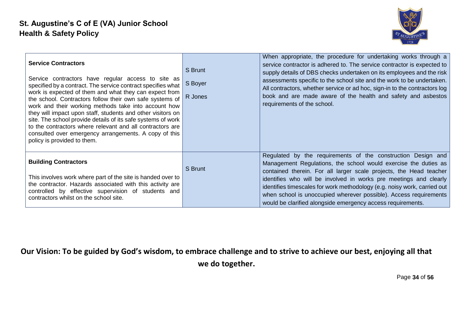

| <b>Service Contractors</b><br>Service contractors have regular access to site as<br>specified by a contract. The service contract specifies what<br>work is expected of them and what they can expect from<br>the school. Contractors follow their own safe systems of<br>work and their working methods take into account how<br>they will impact upon staff, students and other visitors on<br>site. The school provide details of its safe systems of work<br>to the contractors where relevant and all contractors are<br>consulted over emergency arrangements. A copy of this<br>policy is provided to them. | S Brunt<br>S Boyer<br>R Jones | When appropriate, the procedure for undertaking works through a<br>service contractor is adhered to. The service contractor is expected to<br>supply details of DBS checks undertaken on its employees and the risk<br>assessments specific to the school site and the work to be undertaken.<br>All contractors, whether service or ad hoc, sign-in to the contractors log<br>book and are made aware of the health and safety and asbestos<br>requirements of the school.                |
|--------------------------------------------------------------------------------------------------------------------------------------------------------------------------------------------------------------------------------------------------------------------------------------------------------------------------------------------------------------------------------------------------------------------------------------------------------------------------------------------------------------------------------------------------------------------------------------------------------------------|-------------------------------|--------------------------------------------------------------------------------------------------------------------------------------------------------------------------------------------------------------------------------------------------------------------------------------------------------------------------------------------------------------------------------------------------------------------------------------------------------------------------------------------|
| <b>Building Contractors</b><br>This involves work where part of the site is handed over to<br>the contractor. Hazards associated with this activity are<br>controlled by effective supervision of students and<br>contractors whilst on the school site.                                                                                                                                                                                                                                                                                                                                                           | S Brunt                       | Regulated by the requirements of the construction Design and<br>Management Regulations, the school would exercise the duties as<br>contained therein. For all larger scale projects, the Head teacher<br>identifies who will be involved in works pre meetings and clearly<br>identifies timescales for work methodology (e.g. noisy work, carried out<br>when school is unoccupied wherever possible). Access requirements<br>would be clarified alongside emergency access requirements. |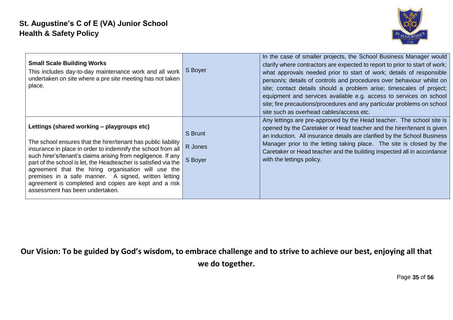

| <b>Small Scale Building Works</b><br>This includes day-to-day maintenance work and all work<br>undertaken on site where a pre site meeting has not taken<br>place.                                                                                                                                                                                                                                                                                                                                                        | S Boyer                       | In the case of smaller projects, the School Business Manager would<br>clarify where contractors are expected to report to prior to start of work;<br>what approvals needed prior to start of work; details of responsible<br>person/s; details of controls and procedures over behaviour whilst on<br>site; contact details should a problem arise; timescales of project;<br>equipment and services available e.g. access to services on school<br>site; fire precautions/procedures and any particular problems on school<br>site such as overhead cables/access etc. |
|---------------------------------------------------------------------------------------------------------------------------------------------------------------------------------------------------------------------------------------------------------------------------------------------------------------------------------------------------------------------------------------------------------------------------------------------------------------------------------------------------------------------------|-------------------------------|-------------------------------------------------------------------------------------------------------------------------------------------------------------------------------------------------------------------------------------------------------------------------------------------------------------------------------------------------------------------------------------------------------------------------------------------------------------------------------------------------------------------------------------------------------------------------|
| Lettings (shared working – playgroups etc)<br>The school ensures that the hirer/tenant has public liability<br>insurance in place in order to indemnify the school from all<br>such hirer's/tenant's claims arising from negligence. If any<br>part of the school is let, the Headteacher is satisfied via the<br>agreement that the hiring organisation will use the<br>premises in a safe manner. A signed, written letting<br>agreement is completed and copies are kept and a risk<br>assessment has been undertaken. | S Brunt<br>R Jones<br>S Boyer | Any lettings are pre-approved by the Head teacher. The school site is<br>opened by the Caretaker or Head teacher and the hirer/tenant is given<br>an induction. All insurance details are clarified by the School Business<br>Manager prior to the letting taking place. The site is closed by the<br>Caretaker or Head teacher and the building inspected all in accordance<br>with the lettings policy.                                                                                                                                                               |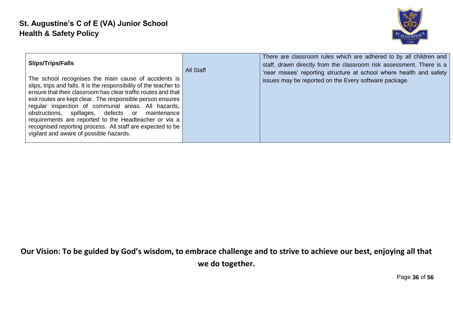

| <b>Slips/Trips/Falls</b><br>The school recognises the main cause of accidents is<br>slips, trips and falls. It is the responsibility of the teacher to<br>ensure that their classroom has clear traffic routes and that<br>exit routes are kept clear. The responsible person ensures<br>regular inspection of communal areas. All hazards,<br>obstructions, spillages, defects or maintenance<br>requirements are reported to the Headteacher or via a | <b>All Staff</b> | There are classroom rules which are adhered to by all children and<br>staff, drawn directly from the classroom risk assessment. There is a<br>'near misses' reporting structure at school where health and safety<br>issues may be reported on the Every software package. |
|---------------------------------------------------------------------------------------------------------------------------------------------------------------------------------------------------------------------------------------------------------------------------------------------------------------------------------------------------------------------------------------------------------------------------------------------------------|------------------|----------------------------------------------------------------------------------------------------------------------------------------------------------------------------------------------------------------------------------------------------------------------------|
| recognised reporting process. All staff are expected to be<br>vigilant and aware of possible hazards.                                                                                                                                                                                                                                                                                                                                                   |                  |                                                                                                                                                                                                                                                                            |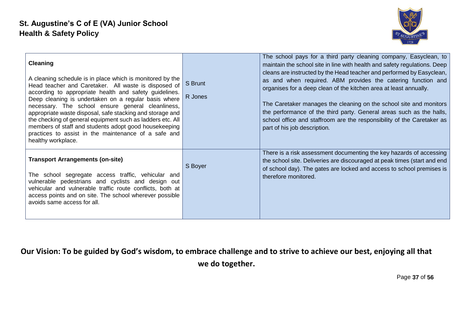

| <b>Cleaning</b><br>A cleaning schedule is in place which is monitored by the<br>Head teacher and Caretaker. All waste is disposed of<br>according to appropriate health and safety guidelines.<br>Deep cleaning is undertaken on a regular basis where<br>necessary. The school ensure general cleanliness,<br>appropriate waste disposal, safe stacking and storage and<br>the checking of general equipment such as ladders etc. All<br>members of staff and students adopt good housekeeping<br>practices to assist in the maintenance of a safe and<br>healthy workplace. | S Brunt<br>R Jones | The school pays for a third party cleaning company, Easyclean, to<br>maintain the school site in line with health and safety regulations. Deep<br>cleans are instructed by the Head teacher and performed by Easyclean,<br>as and when required. ABM provides the catering function and<br>organises for a deep clean of the kitchen area at least annually.<br>The Caretaker manages the cleaning on the school site and monitors<br>the performance of the third party. General areas such as the halls,<br>school office and staffroom are the responsibility of the Caretaker as<br>part of his job description. |
|-------------------------------------------------------------------------------------------------------------------------------------------------------------------------------------------------------------------------------------------------------------------------------------------------------------------------------------------------------------------------------------------------------------------------------------------------------------------------------------------------------------------------------------------------------------------------------|--------------------|----------------------------------------------------------------------------------------------------------------------------------------------------------------------------------------------------------------------------------------------------------------------------------------------------------------------------------------------------------------------------------------------------------------------------------------------------------------------------------------------------------------------------------------------------------------------------------------------------------------------|
| <b>Transport Arrangements (on-site)</b><br>The school segregate access traffic, vehicular and<br>vulnerable pedestrians and cyclists and design out<br>vehicular and vulnerable traffic route conflicts, both at<br>access points and on site. The school wherever possible<br>avoids same access for all.                                                                                                                                                                                                                                                                    | S Boyer            | There is a risk assessment documenting the key hazards of accessing<br>the school site. Deliveries are discouraged at peak times (start and end<br>of school day). The gates are locked and access to school premises is<br>therefore monitored.                                                                                                                                                                                                                                                                                                                                                                     |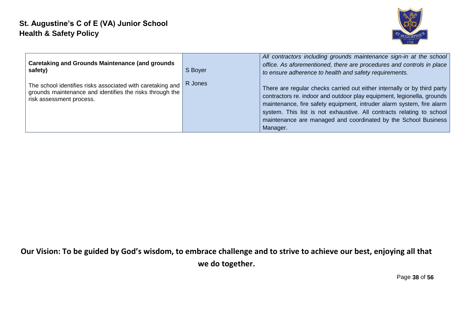

| <b>Caretaking and Grounds Maintenance (and grounds)</b><br>safety)                                                                                 | S Boyer | All contractors including grounds maintenance sign-in at the school<br>office. As aforementioned, there are procedures and controls in place<br>to ensure adherence to health and safety requirements.                                                                                                                                                                             |
|----------------------------------------------------------------------------------------------------------------------------------------------------|---------|------------------------------------------------------------------------------------------------------------------------------------------------------------------------------------------------------------------------------------------------------------------------------------------------------------------------------------------------------------------------------------|
| The school identifies risks associated with caretaking and<br>grounds maintenance and identifies the risks through the<br>risk assessment process. | R Jones | There are regular checks carried out either internally or by third party<br>contractors re. indoor and outdoor play equipment, legionella, grounds<br>maintenance, fire safety equipment, intruder alarm system, fire alarm<br>system. This list is not exhaustive. All contracts relating to school<br>maintenance are managed and coordinated by the School Business<br>Manager. |

Page **38** of **56**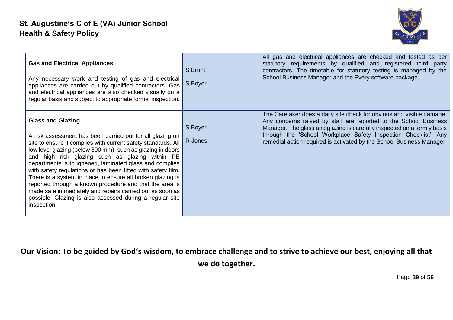

| <b>Gas and Electrical Appliances</b><br>Any necessary work and testing of gas and electrical<br>appliances are carried out by qualified contractors. Gas<br>and electrical appliances are also checked visually on a<br>regular basis and subject to appropriate formal inspection.                                                                                                                                                                                                                                                                                                                                                                               | S Brunt<br>S Boyer | All gas and electrical appliances are checked and tested as per<br>statutory requirements by qualified and registered third party<br>contractors. The timetable for statutory testing is managed by the<br>School Business Manager and the Every software package.                                                                                               |
|-------------------------------------------------------------------------------------------------------------------------------------------------------------------------------------------------------------------------------------------------------------------------------------------------------------------------------------------------------------------------------------------------------------------------------------------------------------------------------------------------------------------------------------------------------------------------------------------------------------------------------------------------------------------|--------------------|------------------------------------------------------------------------------------------------------------------------------------------------------------------------------------------------------------------------------------------------------------------------------------------------------------------------------------------------------------------|
| <b>Glass and Glazing</b><br>A risk assessment has been carried out for all glazing on<br>site to ensure it complies with current safety standards. All<br>low level glazing (below 800 mm), such as glazing in doors<br>and high risk glazing such as glazing within PE<br>departments is toughened, laminated glass and complies<br>with safety regulations or has been fitted with safety film.<br>There is a system in place to ensure all broken glazing is<br>reported through a known procedure and that the area is<br>made safe immediately and repairs carried out as soon as<br>possible. Glazing is also assessed during a regular site<br>inspection. | S Boyer<br>R Jones | The Caretaker does a daily site check for obvious and visible damage.<br>Any concerns raised by staff are reported to the School Business<br>Manager. The glass and glazing is carefully inspected on a termly basis<br>through the 'School Workplace Safety Inspection Checklist'. Any<br>remedial action required is activated by the School Business Manager. |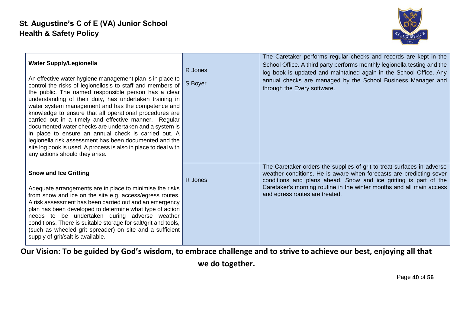

| <b>Water Supply/Legionella</b><br>An effective water hygiene management plan is in place to<br>control the risks of legionellosis to staff and members of<br>the public. The named responsible person has a clear<br>understanding of their duty, has undertaken training in<br>water system management and has the competence and<br>knowledge to ensure that all operational procedures are<br>carried out in a timely and effective manner. Regular<br>documented water checks are undertaken and a system is<br>in place to ensure an annual check is carried out. A<br>legionella risk assessment has been documented and the<br>site log book is used. A process is also in place to deal with<br>any actions should they arise. | R Jones<br>S Boyer | The Caretaker performs regular checks and records are kept in the<br>School Office. A third party performs monthly legionella testing and the<br>log book is updated and maintained again in the School Office. Any<br>annual checks are managed by the School Business Manager and<br>through the Every software.          |
|----------------------------------------------------------------------------------------------------------------------------------------------------------------------------------------------------------------------------------------------------------------------------------------------------------------------------------------------------------------------------------------------------------------------------------------------------------------------------------------------------------------------------------------------------------------------------------------------------------------------------------------------------------------------------------------------------------------------------------------|--------------------|-----------------------------------------------------------------------------------------------------------------------------------------------------------------------------------------------------------------------------------------------------------------------------------------------------------------------------|
| <b>Snow and Ice Gritting</b><br>Adequate arrangements are in place to minimise the risks<br>from snow and ice on the site e.g. access/egress routes.<br>A risk assessment has been carried out and an emergency<br>plan has been developed to determine what type of action<br>needs to be undertaken during adverse weather<br>conditions. There is suitable storage for salt/grit and tools,<br>(such as wheeled grit spreader) on site and a sufficient<br>supply of grit/salt is available.                                                                                                                                                                                                                                        | R Jones            | The Caretaker orders the supplies of grit to treat surfaces in adverse<br>weather conditions. He is aware when forecasts are predicting sever<br>conditions and plans ahead. Snow and ice gritting is part of the<br>Caretaker's morning routine in the winter months and all main access<br>and egress routes are treated. |

**we do together.**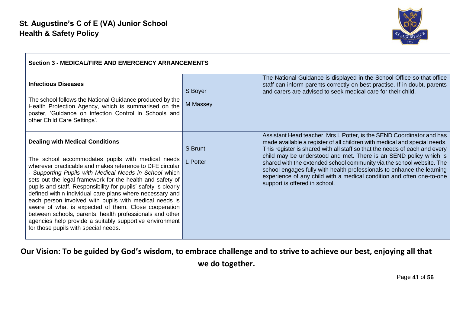

| <b>Section 3 - MEDICAL/FIRE AND EMERGENCY ARRANGEMENTS</b>                                                                                                                                                                                                                                                                                                                                                                                                                                                                                                                                                                                                                                    |                     |                                                                                                                                                                                                                                                                                                                                                                                                                                                                                                                                                                    |
|-----------------------------------------------------------------------------------------------------------------------------------------------------------------------------------------------------------------------------------------------------------------------------------------------------------------------------------------------------------------------------------------------------------------------------------------------------------------------------------------------------------------------------------------------------------------------------------------------------------------------------------------------------------------------------------------------|---------------------|--------------------------------------------------------------------------------------------------------------------------------------------------------------------------------------------------------------------------------------------------------------------------------------------------------------------------------------------------------------------------------------------------------------------------------------------------------------------------------------------------------------------------------------------------------------------|
| <b>Infectious Diseases</b><br>The school follows the National Guidance produced by the<br>Health Protection Agency, which is summarised on the<br>poster, 'Guidance on infection Control in Schools and<br>other Child Care Settings'.                                                                                                                                                                                                                                                                                                                                                                                                                                                        | S Boyer<br>M Massey | The National Guidance is displayed in the School Office so that office<br>staff can inform parents correctly on best practise. If in doubt, parents<br>and carers are advised to seek medical care for their child.                                                                                                                                                                                                                                                                                                                                                |
| <b>Dealing with Medical Conditions</b><br>The school accommodates pupils with medical needs<br>wherever practicable and makes reference to DFE circular<br>- Supporting Pupils with Medical Needs in School which<br>sets out the legal framework for the health and safety of<br>pupils and staff. Responsibility for pupils' safety is clearly<br>defined within individual care plans where necessary and<br>each person involved with pupils with medical needs is<br>aware of what is expected of them. Close cooperation<br>between schools, parents, health professionals and other<br>agencies help provide a suitably supportive environment<br>for those pupils with special needs. | S Brunt<br>L Potter | Assistant Head teacher, Mrs L Potter, is the SEND Coordinator and has<br>made available a register of all children with medical and special needs.<br>This register is shared with all staff so that the needs of each and every<br>child may be understood and met. There is an SEND policy which is<br>shared with the extended school community via the school website. The<br>school engages fully with health professionals to enhance the learning<br>experience of any child with a medical condition and often one-to-one<br>support is offered in school. |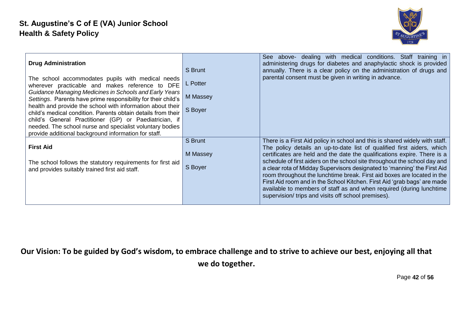

| <b>Drug Administration</b><br>The school accommodates pupils with medical needs<br>wherever practicable and makes reference to DFE<br>Guidance Managing Medicines in Schools and Early Years<br>Settings. Parents have prime responsibility for their child's<br>health and provide the school with information about their<br>child's medical condition. Parents obtain details from their<br>child's General Practitioner (GP) or Paediatrician, if<br>needed. The school nurse and specialist voluntary bodies<br>provide additional background information for staff. | S Brunt<br>L Potter<br>M Massey<br>S Boyer | See above- dealing with medical conditions. Staff training in<br>administering drugs for diabetes and anaphylactic shock is provided<br>annually. There is a clear policy on the administration of drugs and<br>parental consent must be given in writing in advance.                                                                                                                                                                                                                                                                                                                                                                                                            |
|---------------------------------------------------------------------------------------------------------------------------------------------------------------------------------------------------------------------------------------------------------------------------------------------------------------------------------------------------------------------------------------------------------------------------------------------------------------------------------------------------------------------------------------------------------------------------|--------------------------------------------|----------------------------------------------------------------------------------------------------------------------------------------------------------------------------------------------------------------------------------------------------------------------------------------------------------------------------------------------------------------------------------------------------------------------------------------------------------------------------------------------------------------------------------------------------------------------------------------------------------------------------------------------------------------------------------|
| <b>First Aid</b><br>The school follows the statutory requirements for first aid<br>and provides suitably trained first aid staff.                                                                                                                                                                                                                                                                                                                                                                                                                                         | S Brunt<br>M Massey<br>S Boyer             | There is a First Aid policy in school and this is shared widely with staff.<br>The policy details an up-to-date list of qualified first aiders, which<br>certificates are held and the date the qualifications expire. There is a<br>schedule of first aiders on the school site throughout the school day and<br>a clear rota of Midday Supervisors designated to 'manning' the First Aid<br>room throughout the lunchtime break. First aid boxes are located in the<br>First Aid room and in the School Kitchen. First Aid 'grab bags' are made<br>available to members of staff as and when required (during lunchtime<br>supervision/ trips and visits off school premises). |

Page **42** of **56**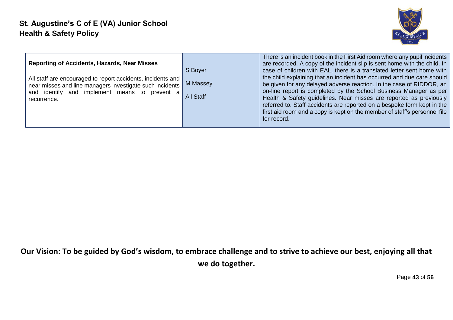

| <b>Reporting of Accidents, Hazards, Near Misses</b><br>All staff are encouraged to report accidents, incidents and<br>near misses and line managers investigate such incidents<br>and identify and implement means to prevent a<br>recurrence. | S Boyer<br>M Massey<br><b>All Staff</b> | There is an incident book in the First Aid room where any pupil incidents<br>are recorded. A copy of the incident slip is sent home with the child. In<br>case of children with EAL, there is a translated letter sent home with<br>the child explaining that an incident has occurred and due care should<br>be given for any delayed adverse reaction. In the case of RIDDOR, an<br>on-line report is completed by the School Business Manager as per<br>Health & Safety guidelines. Near misses are reported as previously<br>referred to. Staff accidents are reported on a bespoke form kept in the<br>first aid room and a copy is kept on the member of staff's personnel file<br>for record. |
|------------------------------------------------------------------------------------------------------------------------------------------------------------------------------------------------------------------------------------------------|-----------------------------------------|------------------------------------------------------------------------------------------------------------------------------------------------------------------------------------------------------------------------------------------------------------------------------------------------------------------------------------------------------------------------------------------------------------------------------------------------------------------------------------------------------------------------------------------------------------------------------------------------------------------------------------------------------------------------------------------------------|
|------------------------------------------------------------------------------------------------------------------------------------------------------------------------------------------------------------------------------------------------|-----------------------------------------|------------------------------------------------------------------------------------------------------------------------------------------------------------------------------------------------------------------------------------------------------------------------------------------------------------------------------------------------------------------------------------------------------------------------------------------------------------------------------------------------------------------------------------------------------------------------------------------------------------------------------------------------------------------------------------------------------|

Page **43** of **56**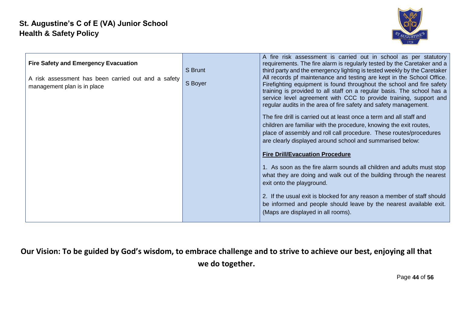

| <b>Fire Safety and Emergency Evacuation</b><br>A risk assessment has been carried out and a safety<br>management plan is in place | S Brunt<br>S Boyer | A fire risk assessment is carried out in school as per statutory<br>requirements. The fire alarm is regularly tested by the Caretaker and a<br>third party and the emergency lighting is tested weekly by the Caretaker<br>All records pf maintenance and testing are kept in the School Office.<br>Firefighting equipment is found throughout the school and fire safety<br>training is provided to all staff on a regular basis. The school has a<br>service level agreement with CCC to provide training, support and<br>regular audits in the area of fire safety and safety management.<br>The fire drill is carried out at least once a term and all staff and<br>children are familiar with the procedure, knowing the exit routes,<br>place of assembly and roll call procedure. These routes/procedures<br>are clearly displayed around school and summarised below:<br><b>Fire Drill/Evacuation Procedure</b> |
|-----------------------------------------------------------------------------------------------------------------------------------|--------------------|-------------------------------------------------------------------------------------------------------------------------------------------------------------------------------------------------------------------------------------------------------------------------------------------------------------------------------------------------------------------------------------------------------------------------------------------------------------------------------------------------------------------------------------------------------------------------------------------------------------------------------------------------------------------------------------------------------------------------------------------------------------------------------------------------------------------------------------------------------------------------------------------------------------------------|
|                                                                                                                                   |                    | 1. As soon as the fire alarm sounds all children and adults must stop<br>what they are doing and walk out of the building through the nearest<br>exit onto the playground.<br>2. If the usual exit is blocked for any reason a member of staff should<br>be informed and people should leave by the nearest available exit.                                                                                                                                                                                                                                                                                                                                                                                                                                                                                                                                                                                             |
|                                                                                                                                   |                    | (Maps are displayed in all rooms).                                                                                                                                                                                                                                                                                                                                                                                                                                                                                                                                                                                                                                                                                                                                                                                                                                                                                      |

Page **44** of **56**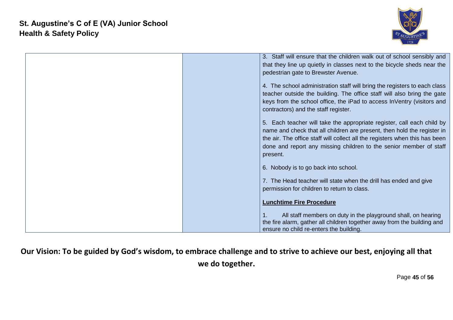

| 3. Staff will ensure that the children walk out of school sensibly and<br>that they line up quietly in classes next to the bicycle sheds near the<br>pedestrian gate to Brewster Avenue.                                                                                                                           |
|--------------------------------------------------------------------------------------------------------------------------------------------------------------------------------------------------------------------------------------------------------------------------------------------------------------------|
| 4. The school administration staff will bring the registers to each class<br>teacher outside the building. The office staff will also bring the gate<br>keys from the school office, the iPad to access InVentry (visitors and<br>contractors) and the staff register.                                             |
| 5. Each teacher will take the appropriate register, call each child by<br>name and check that all children are present, then hold the register in<br>the air. The office staff will collect all the registers when this has been<br>done and report any missing children to the senior member of staff<br>present. |
| 6. Nobody is to go back into school.                                                                                                                                                                                                                                                                               |
| 7. The Head teacher will state when the drill has ended and give<br>permission for children to return to class.                                                                                                                                                                                                    |
| <b>Lunchtime Fire Procedure</b>                                                                                                                                                                                                                                                                                    |
| All staff members on duty in the playground shall, on hearing<br>1.<br>the fire alarm, gather all children together away from the building and<br>ensure no child re-enters the building.                                                                                                                          |

Page **45** of **56**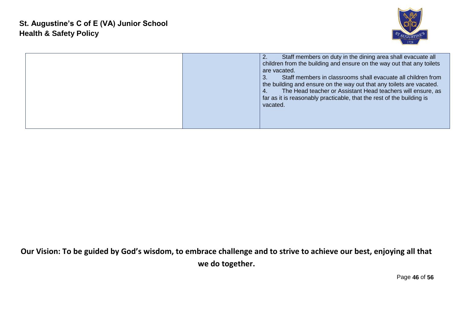

|  |  | Staff members on duty in the dining area shall evacuate all<br>children from the building and ensure on the way out that any toilets<br>are vacated.<br>Staff members in classrooms shall evacuate all children from<br>the building and ensure on the way out that any toilets are vacated.<br>The Head teacher or Assistant Head teachers will ensure, as<br>4.<br>far as it is reasonably practicable, that the rest of the building is<br>vacated. |
|--|--|--------------------------------------------------------------------------------------------------------------------------------------------------------------------------------------------------------------------------------------------------------------------------------------------------------------------------------------------------------------------------------------------------------------------------------------------------------|
|--|--|--------------------------------------------------------------------------------------------------------------------------------------------------------------------------------------------------------------------------------------------------------------------------------------------------------------------------------------------------------------------------------------------------------------------------------------------------------|

Page **46** of **56**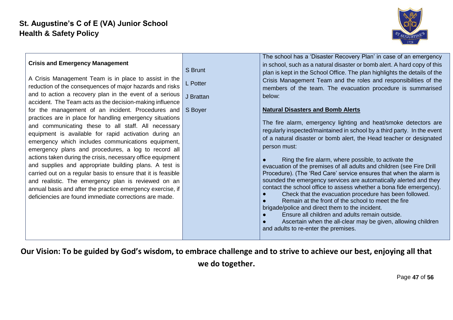

| A Crisis Management Team is in place to assist in the        | Crisis Management Team and the roles and responsibilities of the        |
|--------------------------------------------------------------|-------------------------------------------------------------------------|
| L Potter                                                     | members of the team. The evacuation procedure is summarised             |
| reduction of the consequences of major hazards and risks     | below:                                                                  |
| and to action a recovery plan in the event of a serious      | <b>Natural Disasters and Bomb Alerts</b>                                |
| J Brattan                                                    | The fire alarm, emergency lighting and heat/smoke detectors are         |
| accident. The Team acts as the decision-making influence     | regularly inspected/maintained in school by a third party. In the event |
| for the management of an incident. Procedures and            | of a natural disaster or bomb alert, the Head teacher or designated     |
| S Boyer                                                      | person must:                                                            |
| practices are in place for handling emergency situations     | Ring the fire alarm, where possible, to activate the                    |
| and communicating these to all staff. All necessary          | evacuation of the premises of all adults and children (see Fire Drill   |
| equipment is available for rapid activation during an        | Procedure). (The 'Red Care' service ensures that when the alarm is      |
| emergency which includes communications equipment,           | sounded the emergency services are automatically alerted and they       |
| emergency plans and procedures, a log to record all          | contact the school office to assess whether a bona fide emergency).     |
| actions taken during the crisis, necessary office equipment  | Check that the evacuation procedure has been followed.                  |
| and supplies and appropriate building plans. A test is       | Remain at the front of the school to meet the fire                      |
| carried out on a regular basis to ensure that it is feasible | brigade/police and direct them to the incident.                         |
| and realistic. The emergency plan is reviewed on an          | Ensure all children and adults remain outside.                          |
| annual basis and after the practice emergency exercise, if   | Ascertain when the all-clear may be given, allowing children            |
| deficiencies are found immediate corrections are made.       | and adults to re-enter the premises.                                    |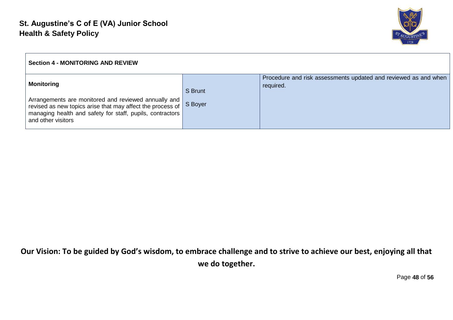

| <b>Section 4 - MONITORING AND REVIEW</b>                                                                                                                                                              |         |                                                                              |
|-------------------------------------------------------------------------------------------------------------------------------------------------------------------------------------------------------|---------|------------------------------------------------------------------------------|
| <b>Monitoring</b>                                                                                                                                                                                     | S Brunt | Procedure and risk assessments updated and reviewed as and when<br>required. |
| Arrangements are monitored and reviewed annually and<br>revised as new topics arise that may affect the process of<br>managing health and safety for staff, pupils, contractors<br>and other visitors | S Boyer |                                                                              |

Page **48** of **56**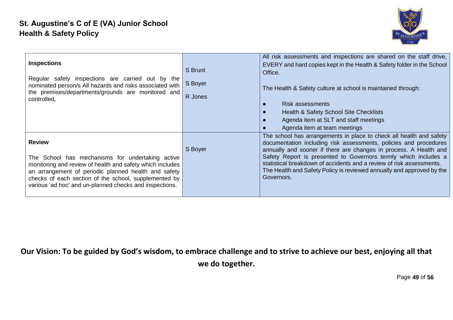

| <b>Inspections</b><br>Regular safety inspections are carried out by the<br>nominated person/s All hazards and risks associated with<br>the premises/departments/grounds are monitored and<br>controlled.                                                                                                   | S Brunt<br>S Boyer<br>R Jones | All risk assessments and inspections are shared on the staff drive,<br>EVERY and hard copies kept in the Health & Safety folder in the School<br>Office.<br>The Health & Safety culture at school is maintained through:<br><b>Risk assessments</b><br>Health & Safety School Site Checklists<br>Agenda item at SLT and staff meetings<br>Agenda item at team meetings                                                                          |
|------------------------------------------------------------------------------------------------------------------------------------------------------------------------------------------------------------------------------------------------------------------------------------------------------------|-------------------------------|-------------------------------------------------------------------------------------------------------------------------------------------------------------------------------------------------------------------------------------------------------------------------------------------------------------------------------------------------------------------------------------------------------------------------------------------------|
| <b>Review</b><br>The School has mechanisms for undertaking active<br>monitoring and review of health and safety which includes<br>an arrangement of periodic planned health and safety<br>checks of each section of the school, supplemented by<br>various 'ad hoc' and un-planned checks and inspections. | S Boyer                       | The school has arrangements in place to check all health and safety<br>documentation including risk assessments, policies and procedures<br>annually and sooner if there are changes in process. A Health and<br>Safety Report is presented to Governors termly which includes a<br>statistical breakdown of accidents and a review of risk assessments.<br>The Health and Safety Policy is reviewed annually and approved by the<br>Governors. |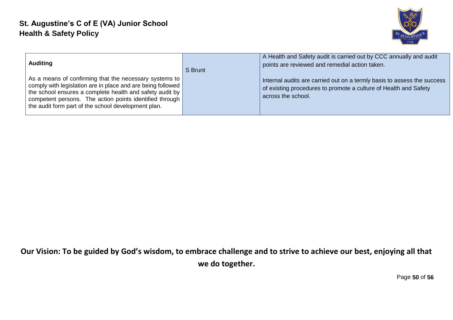

| <b>Auditing</b>                                                                                                                                                                                                                                                                                       | S Brunt | A Health and Safety audit is carried out by CCC annually and audit<br>points are reviewed and remedial action taken.                                              |
|-------------------------------------------------------------------------------------------------------------------------------------------------------------------------------------------------------------------------------------------------------------------------------------------------------|---------|-------------------------------------------------------------------------------------------------------------------------------------------------------------------|
| As a means of confirming that the necessary systems to  <br>comply with legislation are in place and are being followed<br>the school ensures a complete health and safety audit by<br>competent persons. The action points identified through<br>the audit form part of the school development plan. |         | Internal audits are carried out on a termly basis to assess the success<br>of existing procedures to promote a culture of Health and Safety<br>across the school. |

Page **50** of **56**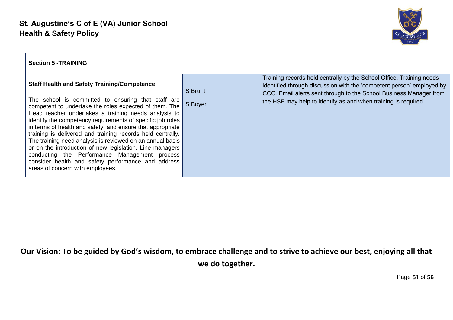

| <b>Section 5 - TRAINING</b>                                                                                                                                                                                                                                                                                                                                                                                                                                                                                                                                                                                                                                                              |                    |                                                                                                                                                                                                                                                                                       |
|------------------------------------------------------------------------------------------------------------------------------------------------------------------------------------------------------------------------------------------------------------------------------------------------------------------------------------------------------------------------------------------------------------------------------------------------------------------------------------------------------------------------------------------------------------------------------------------------------------------------------------------------------------------------------------------|--------------------|---------------------------------------------------------------------------------------------------------------------------------------------------------------------------------------------------------------------------------------------------------------------------------------|
| <b>Staff Health and Safety Training/Competence</b><br>The school is committed to ensuring that staff are<br>competent to undertake the roles expected of them. The<br>Head teacher undertakes a training needs analysis to<br>identify the competency requirements of specific job roles<br>in terms of health and safety, and ensure that appropriate<br>training is delivered and training records held centrally.<br>The training need analysis is reviewed on an annual basis<br>or on the introduction of new legislation. Line managers<br>conducting the Performance Management process<br>consider health and safety performance and address<br>areas of concern with employees. | S Brunt<br>S Boyer | Training records held centrally by the School Office. Training needs<br>identified through discussion with the 'competent person' employed by<br>CCC. Email alerts sent through to the School Business Manager from<br>the HSE may help to identify as and when training is required. |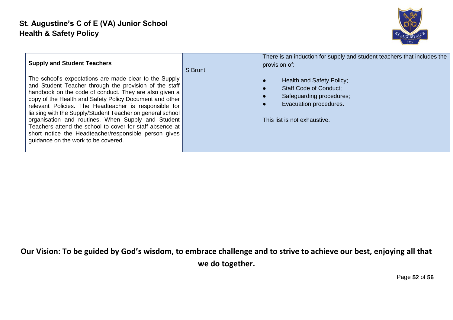

| <b>Supply and Student Teachers</b><br>The school's expectations are made clear to the Supply<br>and Student Teacher through the provision of the staff<br>handbook on the code of conduct. They are also given a<br>copy of the Health and Safety Policy Document and other<br>relevant Policies. The Headteacher is responsible for<br>liaising with the Supply/Student Teacher on general school  <br>organisation and routines. When Supply and Student<br>Teachers attend the school to cover for staff absence at<br>short notice the Headteacher/responsible person gives<br>guidance on the work to be covered. | S Brunt | There is an induction for supply and student teachers that includes the<br>provision of:<br>Health and Safety Policy;<br><b>Staff Code of Conduct:</b><br>Safeguarding procedures;<br>Evacuation procedures.<br>This list is not exhaustive. |
|------------------------------------------------------------------------------------------------------------------------------------------------------------------------------------------------------------------------------------------------------------------------------------------------------------------------------------------------------------------------------------------------------------------------------------------------------------------------------------------------------------------------------------------------------------------------------------------------------------------------|---------|----------------------------------------------------------------------------------------------------------------------------------------------------------------------------------------------------------------------------------------------|
|------------------------------------------------------------------------------------------------------------------------------------------------------------------------------------------------------------------------------------------------------------------------------------------------------------------------------------------------------------------------------------------------------------------------------------------------------------------------------------------------------------------------------------------------------------------------------------------------------------------------|---------|----------------------------------------------------------------------------------------------------------------------------------------------------------------------------------------------------------------------------------------------|

Page **52** of **56**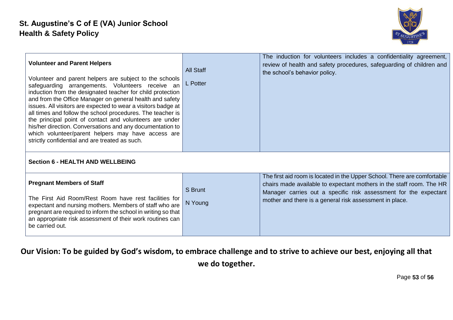

| <b>Volunteer and Parent Helpers</b><br>Volunteer and parent helpers are subject to the schools<br>safeguarding arrangements. Volunteers receive an<br>induction from the designated teacher for child protection<br>and from the Office Manager on general health and safety<br>issues. All visitors are expected to wear a visitors badge at<br>all times and follow the school procedures. The teacher is<br>the principal point of contact and volunteers are under<br>his/her direction. Conversations and any documentation to<br>which volunteer/parent helpers may have access are<br>strictly confidential and are treated as such. | <b>All Staff</b><br>L Potter | The induction for volunteers includes a confidentiality agreement,<br>review of health and safety procedures, safeguarding of children and<br>the school's behavior policy.                                                                                                     |
|---------------------------------------------------------------------------------------------------------------------------------------------------------------------------------------------------------------------------------------------------------------------------------------------------------------------------------------------------------------------------------------------------------------------------------------------------------------------------------------------------------------------------------------------------------------------------------------------------------------------------------------------|------------------------------|---------------------------------------------------------------------------------------------------------------------------------------------------------------------------------------------------------------------------------------------------------------------------------|
| <b>Section 6 - HEALTH AND WELLBEING</b>                                                                                                                                                                                                                                                                                                                                                                                                                                                                                                                                                                                                     |                              |                                                                                                                                                                                                                                                                                 |
| <b>Pregnant Members of Staff</b><br>The First Aid Room/Rest Room have rest facilities for<br>expectant and nursing mothers. Members of staff who are<br>pregnant are required to inform the school in writing so that<br>an appropriate risk assessment of their work routines can<br>be carried out.                                                                                                                                                                                                                                                                                                                                       | S Brunt<br>N Young           | The first aid room is located in the Upper School. There are comfortable<br>chairs made available to expectant mothers in the staff room. The HR<br>Manager carries out a specific risk assessment for the expectant<br>mother and there is a general risk assessment in place. |

Page **53** of **56**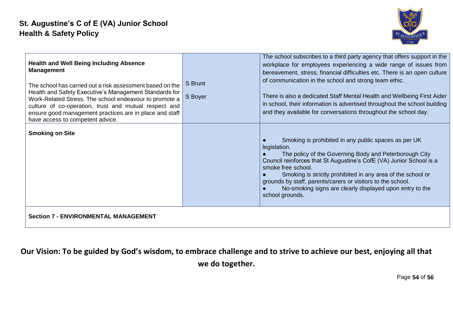

| <b>Health and Well Being Including Absence</b><br><b>Management</b><br>The school has carried out a risk assessment based on the<br>Health and Safety Executive's Management Standards for<br>Work-Related Stress. The school endeavour to promote a<br>culture of co-operation, trust and mutual respect and<br>ensure good management practices are in place and staff<br>have access to competent advice. | S Brunt<br>S Boyer | The school subscribes to a third party agency that offers support in the<br>workplace for employees experiencing a wide range of issues from<br>bereavement, stress, financial difficulties etc. There is an open culture<br>of communication in the school and strong team ethic.<br>There is also a dedicated Staff Mental Health and Wellbeing First Aider<br>in school, their information is advertised throughout the school building<br>and they available for conversations throughout the school day. |  |  |
|--------------------------------------------------------------------------------------------------------------------------------------------------------------------------------------------------------------------------------------------------------------------------------------------------------------------------------------------------------------------------------------------------------------|--------------------|---------------------------------------------------------------------------------------------------------------------------------------------------------------------------------------------------------------------------------------------------------------------------------------------------------------------------------------------------------------------------------------------------------------------------------------------------------------------------------------------------------------|--|--|
| <b>Smoking on Site</b>                                                                                                                                                                                                                                                                                                                                                                                       |                    | Smoking is prohibited in any public spaces as per UK<br>legislation.<br>The policy of the Governing Body and Peterborough City<br>Council reinforces that St Augustine's CofE (VA) Junior School is a<br>smoke free school.<br>Smoking is strictly prohibited in any area of the school or<br>grounds by staff, parents/carers or visitors to the school.<br>No-smoking signs are clearly displayed upon entry to the<br>school grounds.                                                                      |  |  |
| <b>Section 7 - ENVIRONMENTAL MANAGEMENT</b>                                                                                                                                                                                                                                                                                                                                                                  |                    |                                                                                                                                                                                                                                                                                                                                                                                                                                                                                                               |  |  |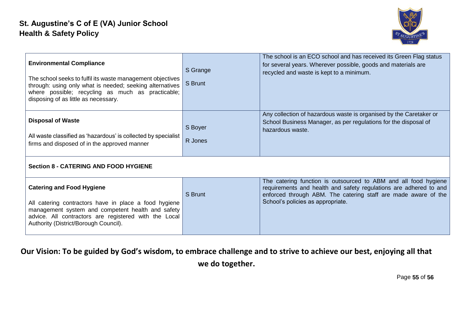

| <b>Environmental Compliance</b><br>The school seeks to fulfil its waste management objectives<br>through: using only what is needed; seeking alternatives<br>where possible; recycling as much as practicable;<br>disposing of as little as necessary. | S Grange<br>S Brunt | The school is an ECO school and has received its Green Flag status<br>for several years. Wherever possible, goods and materials are<br>recycled and waste is kept to a minimum.                                                             |  |  |
|--------------------------------------------------------------------------------------------------------------------------------------------------------------------------------------------------------------------------------------------------------|---------------------|---------------------------------------------------------------------------------------------------------------------------------------------------------------------------------------------------------------------------------------------|--|--|
| <b>Disposal of Waste</b><br>All waste classified as 'hazardous' is collected by specialist<br>firms and disposed of in the approved manner                                                                                                             | S Boyer<br>R Jones  | Any collection of hazardous waste is organised by the Caretaker or<br>School Business Manager, as per regulations for the disposal of<br>hazardous waste.                                                                                   |  |  |
| <b>Section 8 - CATERING AND FOOD HYGIENE</b>                                                                                                                                                                                                           |                     |                                                                                                                                                                                                                                             |  |  |
| <b>Catering and Food Hygiene</b><br>All catering contractors have in place a food hygiene<br>management system and competent health and safety<br>advice. All contractors are registered with the Local<br>Authority (District/Borough Council).       | S Brunt             | The catering function is outsourced to ABM and all food hygiene<br>requirements and health and safety regulations are adhered to and<br>enforced through ABM. The catering staff are made aware of the<br>School's policies as appropriate. |  |  |